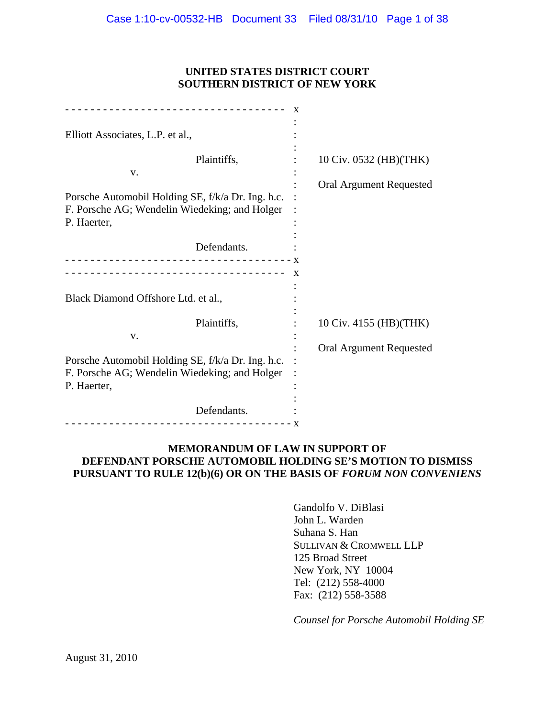## **UNITED STATES DISTRICT COURT SOUTHERN DISTRICT OF NEW YORK**

| Elliott Associates, L.P. et al.,                  |                         |
|---------------------------------------------------|-------------------------|
|                                                   |                         |
| Plaintiffs,                                       | 10 Civ. 0532 (HB)(THK)  |
| V.                                                |                         |
|                                                   | Oral Argument Requested |
| Porsche Automobil Holding SE, f/k/a Dr. Ing. h.c. |                         |
| F. Porsche AG; Wendelin Wiedeking; and Holger     |                         |
| P. Haerter,                                       |                         |
|                                                   |                         |
| Defendants.                                       |                         |
| ----------------------------------                |                         |
|                                                   |                         |
|                                                   |                         |
|                                                   |                         |
| Black Diamond Offshore Ltd. et al.,               |                         |
|                                                   |                         |
| Plaintiffs,                                       | 10 Civ. 4155 (HB)(THK)  |
| V.                                                |                         |
|                                                   | Oral Argument Requested |
| Porsche Automobil Holding SE, f/k/a Dr. Ing. h.c. |                         |
| F. Porsche AG; Wendelin Wiedeking; and Holger     |                         |
| P. Haerter,                                       |                         |
|                                                   |                         |
| Defendants.                                       |                         |
|                                                   |                         |
|                                                   |                         |

# **MEMORANDUM OF LAW IN SUPPORT OF DEFENDANT PORSCHE AUTOMOBIL HOLDING SE'S MOTION TO DISMISS**  PURSUANT TO RULE 12(b)(6) OR ON THE BASIS OF *FORUM NON CONVENIENS*

Gandolfo V. DiBlasi John L. Warden Suhana S. Han SULLIVAN & CROMWELL LLP 125 Broad Street New York, NY 10004 Tel: (212) 558-4000 Fax: (212) 558-3588

*Counsel for Porsche Automobil Holding SE*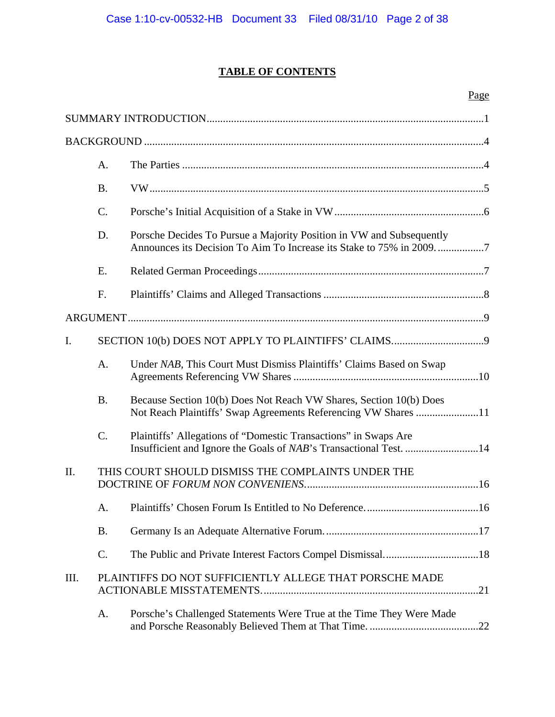# **TABLE OF CONTENTS**

# Page

|      | A.        |                                                                                                                                      |
|------|-----------|--------------------------------------------------------------------------------------------------------------------------------------|
|      | <b>B.</b> |                                                                                                                                      |
|      | C.        |                                                                                                                                      |
|      | D.        | Porsche Decides To Pursue a Majority Position in VW and Subsequently                                                                 |
|      | E.        |                                                                                                                                      |
|      | F.        |                                                                                                                                      |
|      |           |                                                                                                                                      |
| I.   |           |                                                                                                                                      |
|      | A.        | Under NAB, This Court Must Dismiss Plaintiffs' Claims Based on Swap                                                                  |
|      | <b>B.</b> | Because Section 10(b) Does Not Reach VW Shares, Section 10(b) Does<br>Not Reach Plaintiffs' Swap Agreements Referencing VW Shares 11 |
|      | $C$ .     | Plaintiffs' Allegations of "Domestic Transactions" in Swaps Are<br>Insufficient and Ignore the Goals of NAB's Transactional Test. 14 |
| II.  |           | THIS COURT SHOULD DISMISS THE COMPLAINTS UNDER THE                                                                                   |
|      | A.        |                                                                                                                                      |
|      | <b>B.</b> |                                                                                                                                      |
|      | C.        |                                                                                                                                      |
| III. |           | PLAINTIFFS DO NOT SUFFICIENTLY ALLEGE THAT PORSCHE MADE                                                                              |
|      | A.        | Porsche's Challenged Statements Were True at the Time They Were Made                                                                 |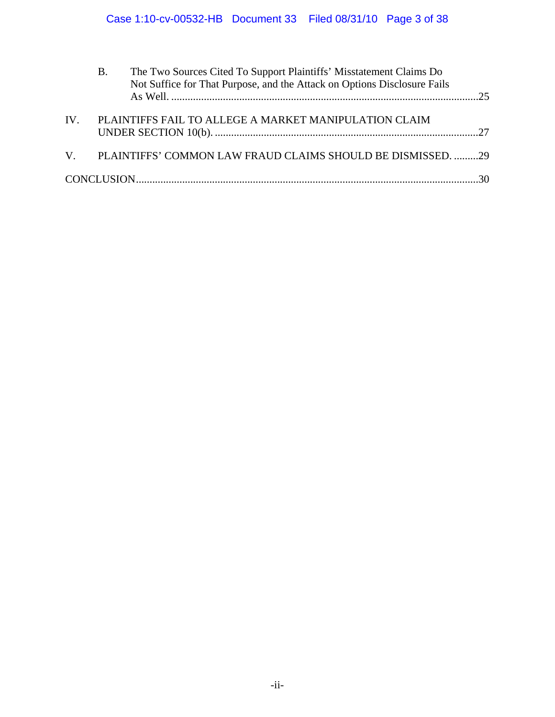|          | Β. | The Two Sources Cited To Support Plaintiffs' Misstatement Claims Do<br>Not Suffice for That Purpose, and the Attack on Options Disclosure Fails |  |
|----------|----|-------------------------------------------------------------------------------------------------------------------------------------------------|--|
| $IV_{-}$ |    | PLAINTIFFS FAIL TO ALLEGE A MARKET MANIPULATION CLAIM                                                                                           |  |
|          |    | V. PLAINTIFFS' COMMON LAW FRAUD CLAIMS SHOULD BE DISMISSED. 29                                                                                  |  |
|          |    |                                                                                                                                                 |  |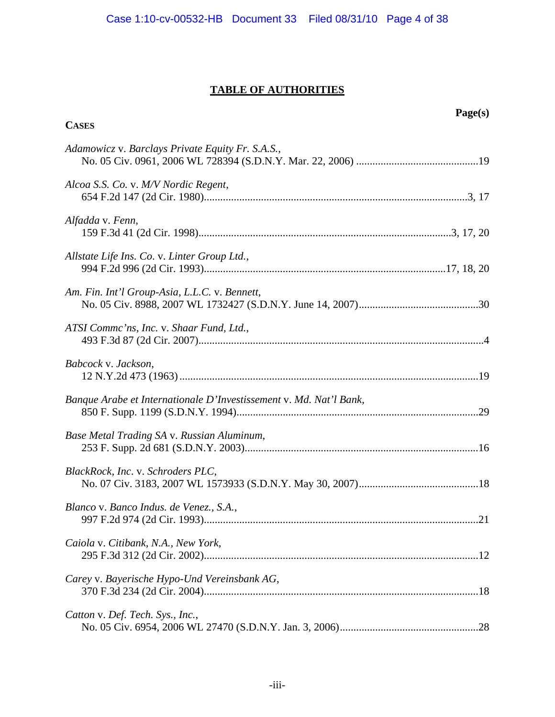# **TABLE OF AUTHORITIES**

| <b>CASES</b>                                                       | Page(s) |
|--------------------------------------------------------------------|---------|
| Adamowicz v. Barclays Private Equity Fr. S.A.S.,                   |         |
|                                                                    |         |
| Alcoa S.S. Co. v. M/V Nordic Regent,                               |         |
| Alfadda v. Fenn,                                                   |         |
| Allstate Life Ins. Co. v. Linter Group Ltd.,                       |         |
| Am. Fin. Int'l Group-Asia, L.L.C. v. Bennett,                      |         |
| ATSI Commc'ns, Inc. v. Shaar Fund, Ltd.,                           |         |
| Babcock v. Jackson,                                                |         |
| Banque Arabe et Internationale D'Investissement v. Md. Nat'l Bank, |         |
| Base Metal Trading SA v. Russian Aluminum,                         |         |
| BlackRock, Inc. v. Schroders PLC,                                  |         |
| Blanco v. Banco Indus. de Venez., S.A.,                            |         |
| Caiola v. Citibank, N.A., New York,                                |         |
| Carey v. Bayerische Hypo-Und Vereinsbank AG,                       |         |
| Catton v. Def. Tech. Sys., Inc.,                                   |         |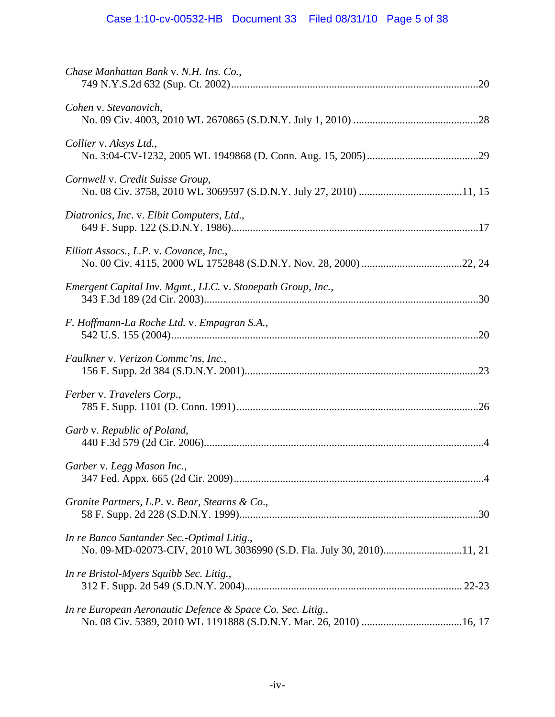| Chase Manhattan Bank v. N.H. Ins. Co.,                                                                             |
|--------------------------------------------------------------------------------------------------------------------|
| Cohen v. Stevanovich,                                                                                              |
| Collier v. Aksys Ltd.,                                                                                             |
| Cornwell v. Credit Suisse Group,                                                                                   |
| Diatronics, Inc. v. Elbit Computers, Ltd.,                                                                         |
| Elliott Assocs., L.P. v. Covance, Inc.,                                                                            |
| Emergent Capital Inv. Mgmt., LLC. v. Stonepath Group, Inc.,                                                        |
| F. Hoffmann-La Roche Ltd. v. Empagran S.A.,                                                                        |
| Faulkner v. Verizon Commc'ns, Inc.,                                                                                |
| Ferber v. Travelers Corp.,                                                                                         |
| Garb v. Republic of Poland,                                                                                        |
| Garber v. Legg Mason Inc.,                                                                                         |
| Granite Partners, L.P. v. Bear, Stearns & Co.,                                                                     |
| In re Banco Santander Sec.-Optimal Litig.,<br>No. 09-MD-02073-CIV, 2010 WL 3036990 (S.D. Fla. July 30, 2010)11, 21 |
| In re Bristol-Myers Squibb Sec. Litig.,                                                                            |
| In re European Aeronautic Defence & Space Co. Sec. Litig.,                                                         |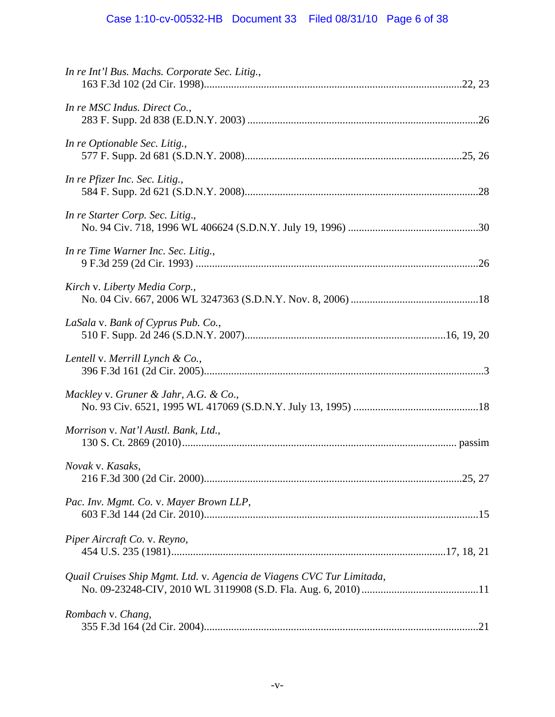# Case 1:10-cv-00532-HB Document 33 Filed 08/31/10 Page 6 of 38

| In re Int'l Bus. Machs. Corporate Sec. Litig.,                        |  |
|-----------------------------------------------------------------------|--|
| In re MSC Indus. Direct Co.,                                          |  |
| In re Optionable Sec. Litig.,                                         |  |
| In re Pfizer Inc. Sec. Litig.,                                        |  |
| In re Starter Corp. Sec. Litig.,                                      |  |
| In re Time Warner Inc. Sec. Litig.,                                   |  |
| Kirch v. Liberty Media Corp.,                                         |  |
| LaSala v. Bank of Cyprus Pub. Co.,                                    |  |
| Lentell v. Merrill Lynch & Co.,                                       |  |
| Mackley v. Gruner & Jahr, A.G. & Co.,                                 |  |
| Morrison v. Nat'l Austl. Bank, Ltd.,                                  |  |
| Novak v. Kasaks,                                                      |  |
| Pac. Inv. Mgmt. Co. v. Mayer Brown LLP,                               |  |
| Piper Aircraft Co. v. Reyno,                                          |  |
| Quail Cruises Ship Mgmt. Ltd. v. Agencia de Viagens CVC Tur Limitada, |  |
| Rombach v. Chang,                                                     |  |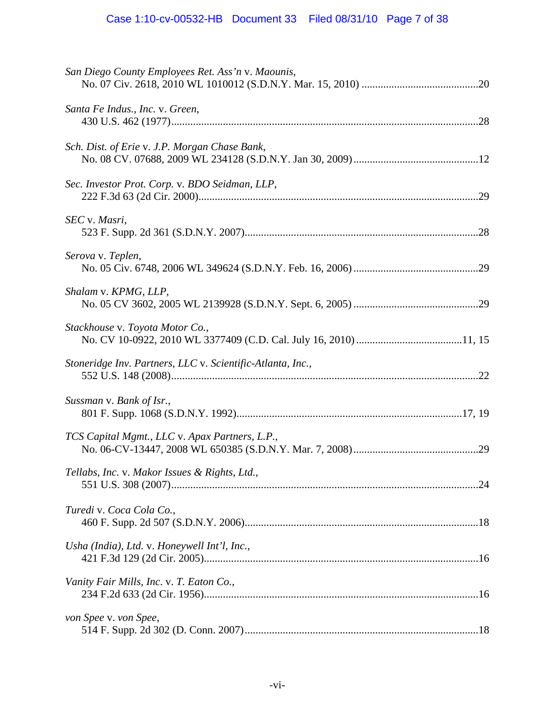| San Diego County Employees Ret. Ass'n v. Maounis,          |
|------------------------------------------------------------|
| Santa Fe Indus., Inc. v. Green,                            |
| Sch. Dist. of Erie v. J.P. Morgan Chase Bank,              |
| Sec. Investor Prot. Corp. v. BDO Seidman, LLP,             |
| SEC v. Masri,                                              |
| Serova v. Teplen,                                          |
| Shalam v. KPMG, LLP,                                       |
| Stackhouse v. Toyota Motor Co.,                            |
| Stoneridge Inv. Partners, LLC v. Scientific-Atlanta, Inc., |
| Sussman v. Bank of Isr.,                                   |
|                                                            |
| TCS Capital Mgmt., LLC v. Apax Partners, L.P.,             |
| Tellabs, Inc. v. Makor Issues & Rights, Ltd.,              |
| Turedi v. Coca Cola Co.,                                   |
| Usha (India), Ltd. v. Honeywell Int'l, Inc.,               |
| Vanity Fair Mills, Inc. v. T. Eaton Co.,                   |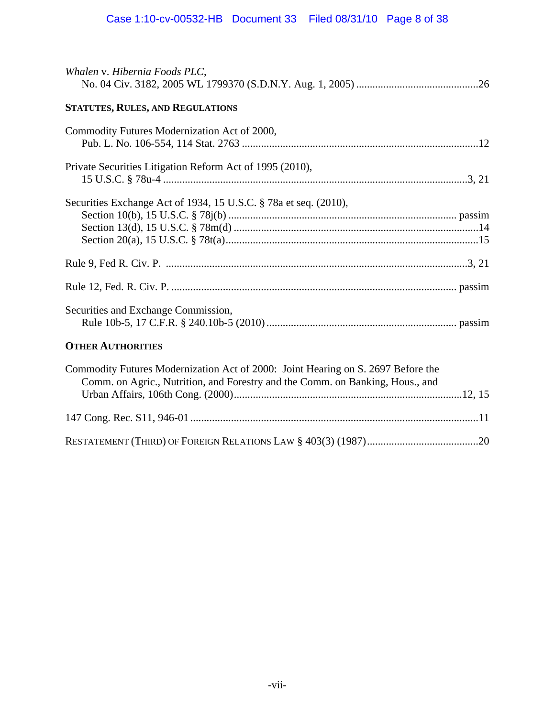| Whalen v. Hibernia Foods PLC,                                                                                                                                     |  |
|-------------------------------------------------------------------------------------------------------------------------------------------------------------------|--|
| STATUTES, RULES, AND REGULATIONS                                                                                                                                  |  |
| Commodity Futures Modernization Act of 2000,                                                                                                                      |  |
| Private Securities Litigation Reform Act of 1995 (2010),                                                                                                          |  |
| Securities Exchange Act of 1934, 15 U.S.C. § 78a et seq. (2010),                                                                                                  |  |
|                                                                                                                                                                   |  |
|                                                                                                                                                                   |  |
| Securities and Exchange Commission,                                                                                                                               |  |
| <b>OTHER AUTHORITIES</b>                                                                                                                                          |  |
| Commodity Futures Modernization Act of 2000: Joint Hearing on S. 2697 Before the<br>Comm. on Agric., Nutrition, and Forestry and the Comm. on Banking, Hous., and |  |
|                                                                                                                                                                   |  |

RESTATEMENT (THIRD) OF FOREIGN RELATIONS LAW § 403(3) (1987) .........................................20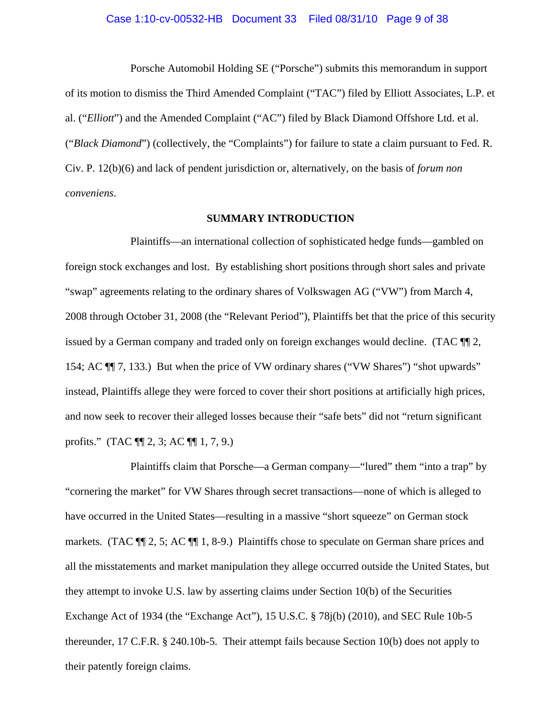#### Case 1:10-cv-00532-HB Document 33 Filed 08/31/10 Page 9 of 38

Porsche Automobil Holding SE ("Porsche") submits this memorandum in support of its motion to dismiss the Third Amended Complaint ("TAC") filed by Elliott Associates, L.P. et al. ("*Elliott*") and the Amended Complaint ("AC") filed by Black Diamond Offshore Ltd. et al. ("*Black Diamond*") (collectively, the "Complaints") for failure to state a claim pursuant to Fed. R. Civ. P. 12(b)(6) and lack of pendent jurisdiction or, alternatively, on the basis of *forum non conveniens*.

#### **SUMMARY INTRODUCTION**

Plaintiffs—an international collection of sophisticated hedge funds—gambled on foreign stock exchanges and lost. By establishing short positions through short sales and private "swap" agreements relating to the ordinary shares of Volkswagen AG ("VW") from March 4, 2008 through October 31, 2008 (the "Relevant Period"), Plaintiffs bet that the price of this security issued by a German company and traded only on foreign exchanges would decline. (TAC ¶¶ 2, 154; AC ¶¶ 7, 133.) But when the price of VW ordinary shares ("VW Shares") "shot upwards" instead, Plaintiffs allege they were forced to cover their short positions at artificially high prices, and now seek to recover their alleged losses because their "safe bets" did not "return significant profits." (TAC ¶¶ 2, 3; AC ¶¶ 1, 7, 9.)

Plaintiffs claim that Porsche—a German company—"lured" them "into a trap" by "cornering the market" for VW Shares through secret transactions—none of which is alleged to have occurred in the United States—resulting in a massive "short squeeze" on German stock markets. (TAC ¶¶ 2, 5; AC ¶¶ 1, 8-9.) Plaintiffs chose to speculate on German share prices and all the misstatements and market manipulation they allege occurred outside the United States, but they attempt to invoke U.S. law by asserting claims under Section 10(b) of the Securities Exchange Act of 1934 (the "Exchange Act"), 15 U.S.C. § 78j(b) (2010), and SEC Rule 10b-5 thereunder, 17 C.F.R. § 240.10b-5. Their attempt fails because Section 10(b) does not apply to their patently foreign claims.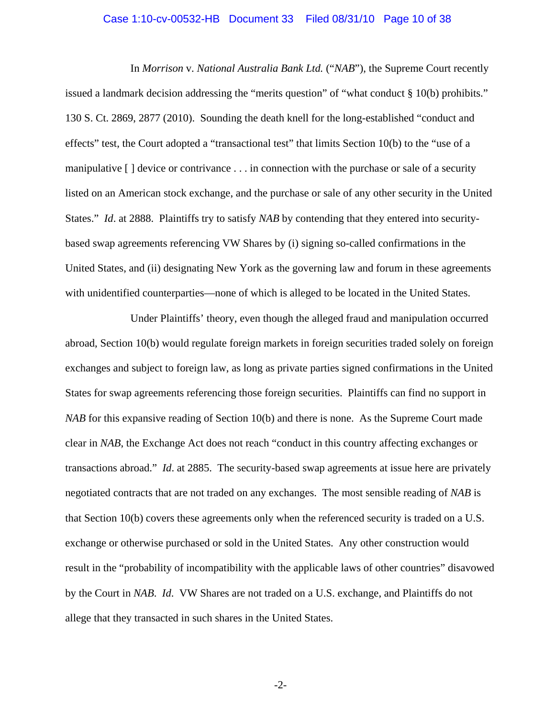#### Case 1:10-cv-00532-HB Document 33 Filed 08/31/10 Page 10 of 38

In *Morrison* v. *National Australia Bank Ltd.* ("*NAB*"), the Supreme Court recently issued a landmark decision addressing the "merits question" of "what conduct § 10(b) prohibits." 130 S. Ct. 2869, 2877 (2010). Sounding the death knell for the long-established "conduct and effects" test, the Court adopted a "transactional test" that limits Section 10(b) to the "use of a manipulative [ ] device or contrivance . . . in connection with the purchase or sale of a security listed on an American stock exchange, and the purchase or sale of any other security in the United States." *Id*. at 2888. Plaintiffs try to satisfy *NAB* by contending that they entered into securitybased swap agreements referencing VW Shares by (i) signing so-called confirmations in the United States, and (ii) designating New York as the governing law and forum in these agreements with unidentified counterparties—none of which is alleged to be located in the United States.

Under Plaintiffs' theory, even though the alleged fraud and manipulation occurred abroad, Section 10(b) would regulate foreign markets in foreign securities traded solely on foreign exchanges and subject to foreign law, as long as private parties signed confirmations in the United States for swap agreements referencing those foreign securities. Plaintiffs can find no support in *NAB* for this expansive reading of Section 10(b) and there is none. As the Supreme Court made clear in *NAB*, the Exchange Act does not reach "conduct in this country affecting exchanges or transactions abroad." *Id*. at 2885. The security-based swap agreements at issue here are privately negotiated contracts that are not traded on any exchanges. The most sensible reading of *NAB* is that Section 10(b) covers these agreements only when the referenced security is traded on a U.S. exchange or otherwise purchased or sold in the United States. Any other construction would result in the "probability of incompatibility with the applicable laws of other countries" disavowed by the Court in *NAB*. *Id*. VW Shares are not traded on a U.S. exchange, and Plaintiffs do not allege that they transacted in such shares in the United States.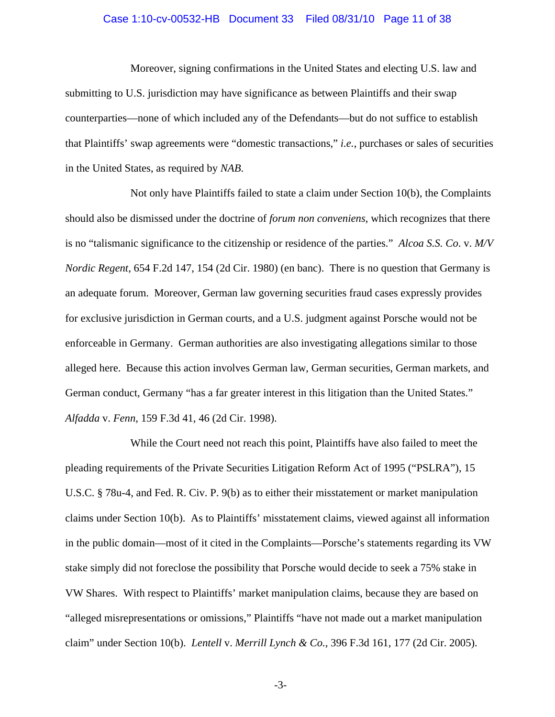#### Case 1:10-cv-00532-HB Document 33 Filed 08/31/10 Page 11 of 38

Moreover, signing confirmations in the United States and electing U.S. law and submitting to U.S. jurisdiction may have significance as between Plaintiffs and their swap counterparties—none of which included any of the Defendants—but do not suffice to establish that Plaintiffs' swap agreements were "domestic transactions," *i.e.*, purchases or sales of securities in the United States, as required by *NAB*.

Not only have Plaintiffs failed to state a claim under Section 10(b), the Complaints should also be dismissed under the doctrine of *forum non conveniens*, which recognizes that there is no "talismanic significance to the citizenship or residence of the parties." *Alcoa S.S. Co*. v. *M/V Nordic Regent*, 654 F.2d 147, 154 (2d Cir. 1980) (en banc). There is no question that Germany is an adequate forum. Moreover, German law governing securities fraud cases expressly provides for exclusive jurisdiction in German courts, and a U.S. judgment against Porsche would not be enforceable in Germany. German authorities are also investigating allegations similar to those alleged here. Because this action involves German law, German securities, German markets, and German conduct, Germany "has a far greater interest in this litigation than the United States." *Alfadda* v. *Fenn*, 159 F.3d 41, 46 (2d Cir. 1998).

While the Court need not reach this point, Plaintiffs have also failed to meet the pleading requirements of the Private Securities Litigation Reform Act of 1995 ("PSLRA"), 15 U.S.C. § 78u-4, and Fed. R. Civ. P. 9(b) as to either their misstatement or market manipulation claims under Section 10(b). As to Plaintiffs' misstatement claims, viewed against all information in the public domain—most of it cited in the Complaints—Porsche's statements regarding its VW stake simply did not foreclose the possibility that Porsche would decide to seek a 75% stake in VW Shares. With respect to Plaintiffs' market manipulation claims, because they are based on "alleged misrepresentations or omissions," Plaintiffs "have not made out a market manipulation claim" under Section 10(b). *Lentell* v. *Merrill Lynch & Co.*, 396 F.3d 161, 177 (2d Cir. 2005).

-3-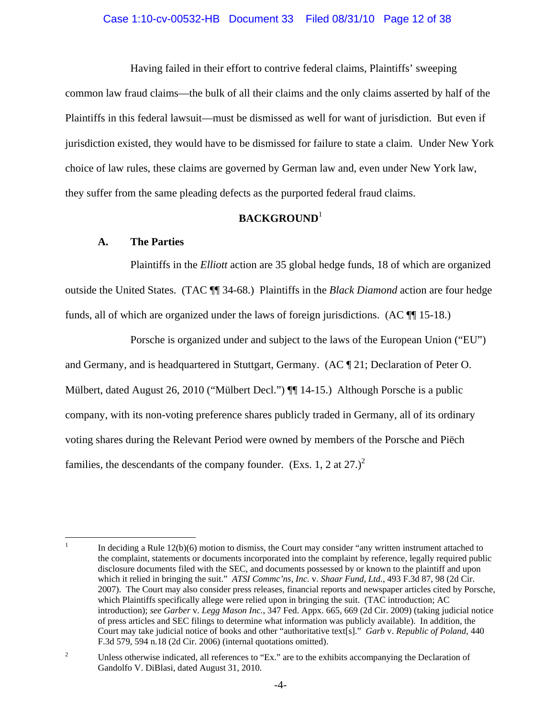Having failed in their effort to contrive federal claims, Plaintiffs' sweeping common law fraud claims—the bulk of all their claims and the only claims asserted by half of the Plaintiffs in this federal lawsuit—must be dismissed as well for want of jurisdiction. But even if jurisdiction existed, they would have to be dismissed for failure to state a claim. Under New York choice of law rules, these claims are governed by German law and, even under New York law, they suffer from the same pleading defects as the purported federal fraud claims.

# **BACKGROUND**<sup>1</sup>

## **A. The Parties**

Plaintiffs in the *Elliott* action are 35 global hedge funds, 18 of which are organized outside the United States. (TAC ¶¶ 34-68.) Plaintiffs in the *Black Diamond* action are four hedge funds, all of which are organized under the laws of foreign jurisdictions. (AC ¶¶ 15-18.)

Porsche is organized under and subject to the laws of the European Union ("EU") and Germany, and is headquartered in Stuttgart, Germany. (AC ¶ 21; Declaration of Peter O. Mülbert, dated August 26, 2010 ("Mülbert Decl.") ¶ 14-15.) Although Porsche is a public company, with its non-voting preference shares publicly traded in Germany, all of its ordinary voting shares during the Relevant Period were owned by members of the Porsche and Piëch families, the descendants of the company founder. (Exs. 1, 2 at  $27.$ )<sup>2</sup>

 $\frac{1}{1}$  In deciding a Rule 12(b)(6) motion to dismiss, the Court may consider "any written instrument attached to the complaint, statements or documents incorporated into the complaint by reference, legally required public disclosure documents filed with the SEC, and documents possessed by or known to the plaintiff and upon which it relied in bringing the suit." *ATSI Commc'ns, Inc.* v. *Shaar Fund, Ltd.*, 493 F.3d 87, 98 (2d Cir. 2007). The Court may also consider press releases, financial reports and newspaper articles cited by Porsche, which Plaintiffs specifically allege were relied upon in bringing the suit. (TAC introduction; AC introduction); *see Garber* v*. Legg Mason Inc.*, 347 Fed. Appx. 665, 669 (2d Cir. 2009) (taking judicial notice of press articles and SEC filings to determine what information was publicly available). In addition, the Court may take judicial notice of books and other "authoritative text[s]." *Garb* v. *Republic of Poland*, 440 F.3d 579, 594 n.18 (2d Cir. 2006) (internal quotations omitted).

<sup>2</sup> Unless otherwise indicated, all references to "Ex." are to the exhibits accompanying the Declaration of Gandolfo V. DiBlasi, dated August 31, 2010.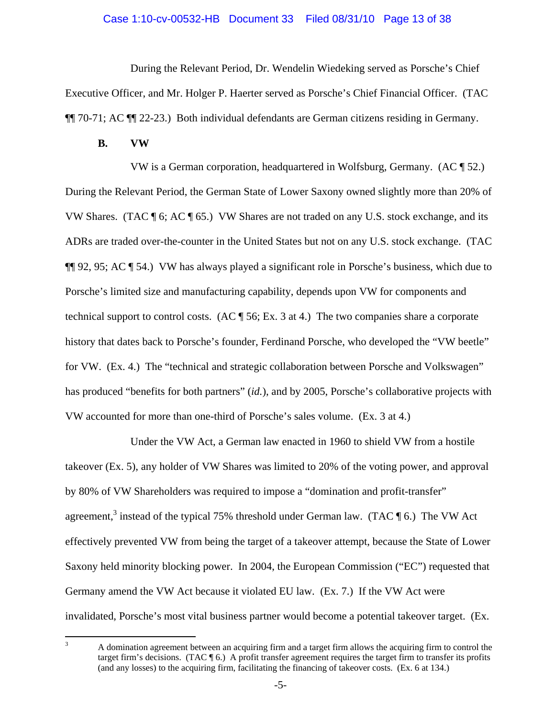#### Case 1:10-cv-00532-HB Document 33 Filed 08/31/10 Page 13 of 38

During the Relevant Period, Dr. Wendelin Wiedeking served as Porsche's Chief Executive Officer, and Mr. Holger P. Haerter served as Porsche's Chief Financial Officer. (TAC ¶¶ 70-71; AC ¶¶ 22-23.) Both individual defendants are German citizens residing in Germany.

#### **B. VW**

VW is a German corporation, headquartered in Wolfsburg, Germany. (AC ¶ 52.) During the Relevant Period, the German State of Lower Saxony owned slightly more than 20% of VW Shares. (TAC ¶ 6; AC ¶ 65.) VW Shares are not traded on any U.S. stock exchange, and its ADRs are traded over-the-counter in the United States but not on any U.S. stock exchange. (TAC ¶¶ 92, 95; AC ¶ 54.) VW has always played a significant role in Porsche's business, which due to Porsche's limited size and manufacturing capability, depends upon VW for components and technical support to control costs. (AC  $\parallel$  56; Ex. 3 at 4.) The two companies share a corporate history that dates back to Porsche's founder, Ferdinand Porsche, who developed the "VW beetle" for VW. (Ex. 4.) The "technical and strategic collaboration between Porsche and Volkswagen" has produced "benefits for both partners" (*id.*), and by 2005, Porsche's collaborative projects with VW accounted for more than one-third of Porsche's sales volume. (Ex. 3 at 4.)

Under the VW Act, a German law enacted in 1960 to shield VW from a hostile takeover (Ex. 5), any holder of VW Shares was limited to 20% of the voting power, and approval by 80% of VW Shareholders was required to impose a "domination and profit-transfer" agreement,<sup>3</sup> instead of the typical 75% threshold under German law. (TAC  $\P$  6.) The VW Act effectively prevented VW from being the target of a takeover attempt, because the State of Lower Saxony held minority blocking power. In 2004, the European Commission ("EC") requested that Germany amend the VW Act because it violated EU law. (Ex. 7.) If the VW Act were invalidated, Porsche's most vital business partner would become a potential takeover target. (Ex.

 $\frac{1}{3}$  A domination agreement between an acquiring firm and a target firm allows the acquiring firm to control the target firm's decisions. (TAC ¶ 6.) A profit transfer agreement requires the target firm to transfer its profits (and any losses) to the acquiring firm, facilitating the financing of takeover costs. (Ex. 6 at 134.)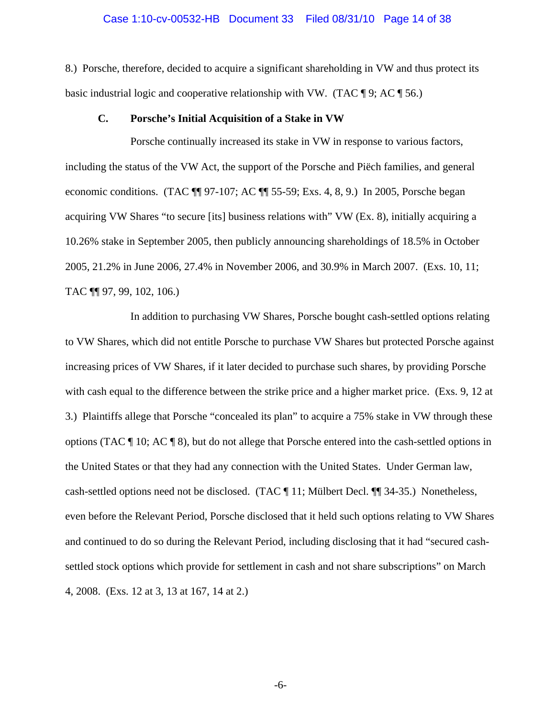## Case 1:10-cv-00532-HB Document 33 Filed 08/31/10 Page 14 of 38

8.) Porsche, therefore, decided to acquire a significant shareholding in VW and thus protect its basic industrial logic and cooperative relationship with VW. (TAC  $\P$  9; AC  $\P$  56.)

#### **C. Porsche's Initial Acquisition of a Stake in VW**

Porsche continually increased its stake in VW in response to various factors, including the status of the VW Act, the support of the Porsche and Piëch families, and general economic conditions. (TAC ¶¶ 97-107; AC ¶¶ 55-59; Exs. 4, 8, 9.) In 2005, Porsche began acquiring VW Shares "to secure [its] business relations with" VW (Ex. 8), initially acquiring a 10.26% stake in September 2005, then publicly announcing shareholdings of 18.5% in October 2005, 21.2% in June 2006, 27.4% in November 2006, and 30.9% in March 2007. (Exs. 10, 11; TAC ¶¶ 97, 99, 102, 106.)

In addition to purchasing VW Shares, Porsche bought cash-settled options relating to VW Shares, which did not entitle Porsche to purchase VW Shares but protected Porsche against increasing prices of VW Shares, if it later decided to purchase such shares, by providing Porsche with cash equal to the difference between the strike price and a higher market price. (Exs. 9, 12 at 3.) Plaintiffs allege that Porsche "concealed its plan" to acquire a 75% stake in VW through these options (TAC ¶ 10; AC ¶ 8), but do not allege that Porsche entered into the cash-settled options in the United States or that they had any connection with the United States. Under German law, cash-settled options need not be disclosed. (TAC ¶ 11; Mülbert Decl. ¶¶ 34-35.) Nonetheless, even before the Relevant Period, Porsche disclosed that it held such options relating to VW Shares and continued to do so during the Relevant Period, including disclosing that it had "secured cashsettled stock options which provide for settlement in cash and not share subscriptions" on March 4, 2008. (Exs. 12 at 3, 13 at 167, 14 at 2.)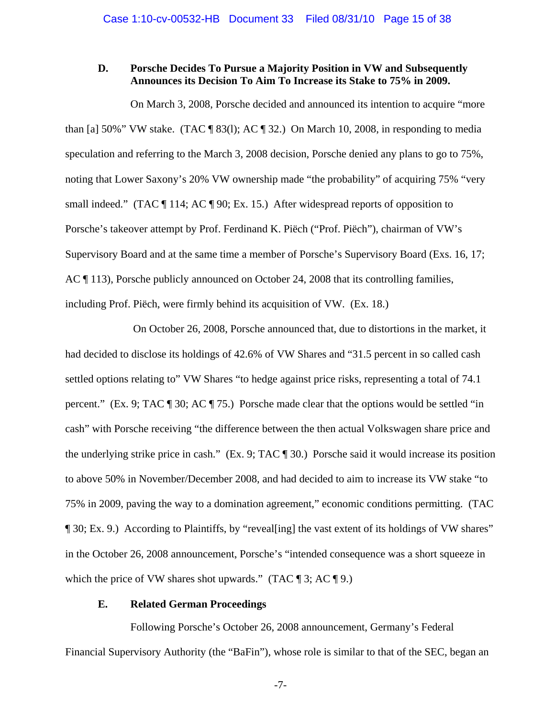## **D. Porsche Decides To Pursue a Majority Position in VW and Subsequently Announces its Decision To Aim To Increase its Stake to 75% in 2009.**

On March 3, 2008, Porsche decided and announced its intention to acquire "more than [a] 50%" VW stake. (TAC  $\parallel$  83(1); AC  $\parallel$  32.) On March 10, 2008, in responding to media speculation and referring to the March 3, 2008 decision, Porsche denied any plans to go to 75%, noting that Lower Saxony's 20% VW ownership made "the probability" of acquiring 75% "very small indeed." (TAC ¶ 114; AC ¶ 90; Ex. 15.) After widespread reports of opposition to Porsche's takeover attempt by Prof. Ferdinand K. Piëch ("Prof. Piëch"), chairman of VW's Supervisory Board and at the same time a member of Porsche's Supervisory Board (Exs. 16, 17; AC ¶ 113), Porsche publicly announced on October 24, 2008 that its controlling families, including Prof. Piëch, were firmly behind its acquisition of VW. (Ex. 18.)

 On October 26, 2008, Porsche announced that, due to distortions in the market, it had decided to disclose its holdings of 42.6% of VW Shares and "31.5 percent in so called cash settled options relating to" VW Shares "to hedge against price risks, representing a total of 74.1 percent." (Ex. 9; TAC ¶ 30; AC ¶ 75.) Porsche made clear that the options would be settled "in cash" with Porsche receiving "the difference between the then actual Volkswagen share price and the underlying strike price in cash." (Ex. 9; TAC ¶ 30.) Porsche said it would increase its position to above 50% in November/December 2008, and had decided to aim to increase its VW stake "to 75% in 2009, paving the way to a domination agreement," economic conditions permitting. (TAC ¶ 30; Ex. 9.) According to Plaintiffs, by "reveal[ing] the vast extent of its holdings of VW shares" in the October 26, 2008 announcement, Porsche's "intended consequence was a short squeeze in which the price of VW shares shot upwards." (TAC  $\P$  3; AC  $\P$  9.)

## **E. Related German Proceedings**

Following Porsche's October 26, 2008 announcement, Germany's Federal Financial Supervisory Authority (the "BaFin"), whose role is similar to that of the SEC, began an

-7-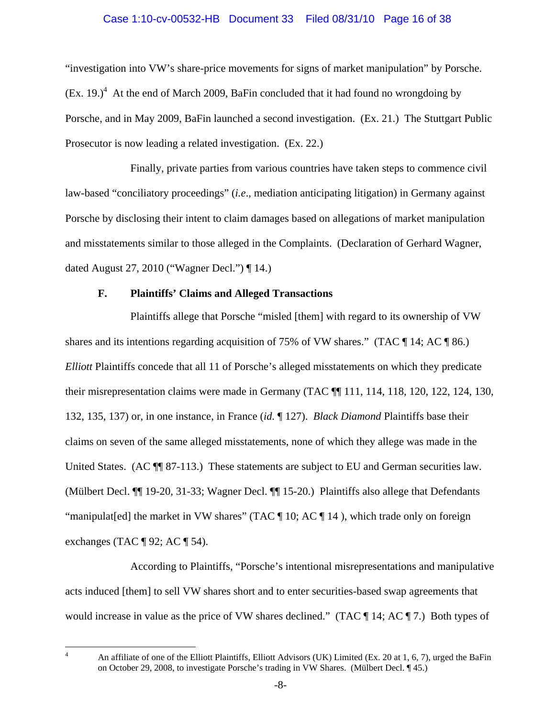## Case 1:10-cv-00532-HB Document 33 Filed 08/31/10 Page 16 of 38

"investigation into VW's share-price movements for signs of market manipulation" by Porsche.  $(Ex. 19.)<sup>4</sup>$  At the end of March 2009, BaFin concluded that it had found no wrongdoing by Porsche, and in May 2009, BaFin launched a second investigation. (Ex. 21.) The Stuttgart Public Prosecutor is now leading a related investigation. (Ex. 22.)

Finally, private parties from various countries have taken steps to commence civil law-based "conciliatory proceedings" (*i.e*., mediation anticipating litigation) in Germany against Porsche by disclosing their intent to claim damages based on allegations of market manipulation and misstatements similar to those alleged in the Complaints. (Declaration of Gerhard Wagner, dated August 27, 2010 ("Wagner Decl.") ¶ 14.)

#### **F. Plaintiffs' Claims and Alleged Transactions**

Plaintiffs allege that Porsche "misled [them] with regard to its ownership of VW shares and its intentions regarding acquisition of 75% of VW shares." (TAC  $\P$  14; AC  $\P$  86.) *Elliott* Plaintiffs concede that all 11 of Porsche's alleged misstatements on which they predicate their misrepresentation claims were made in Germany (TAC ¶¶ 111, 114, 118, 120, 122, 124, 130, 132, 135, 137) or, in one instance, in France (*id.* ¶ 127). *Black Diamond* Plaintiffs base their claims on seven of the same alleged misstatements, none of which they allege was made in the United States. (AC  $\P$  87-113.) These statements are subject to EU and German securities law. (Mülbert Decl. ¶¶ 19-20, 31-33; Wagner Decl. ¶¶ 15-20.) Plaintiffs also allege that Defendants "manipulat[ed] the market in VW shares" (TAC [10; AC [14]), which trade only on foreign exchanges (TAC  $\P$  92; AC  $\P$  54).

According to Plaintiffs, "Porsche's intentional misrepresentations and manipulative acts induced [them] to sell VW shares short and to enter securities-based swap agreements that would increase in value as the price of VW shares declined." (TAC ¶ 14; AC ¶ 7.) Both types of

 $\frac{1}{4}$ 

An affiliate of one of the Elliott Plaintiffs, Elliott Advisors (UK) Limited (Ex. 20 at 1, 6, 7), urged the BaFin on October 29, 2008, to investigate Porsche's trading in VW Shares. (Mülbert Decl. ¶ 45.)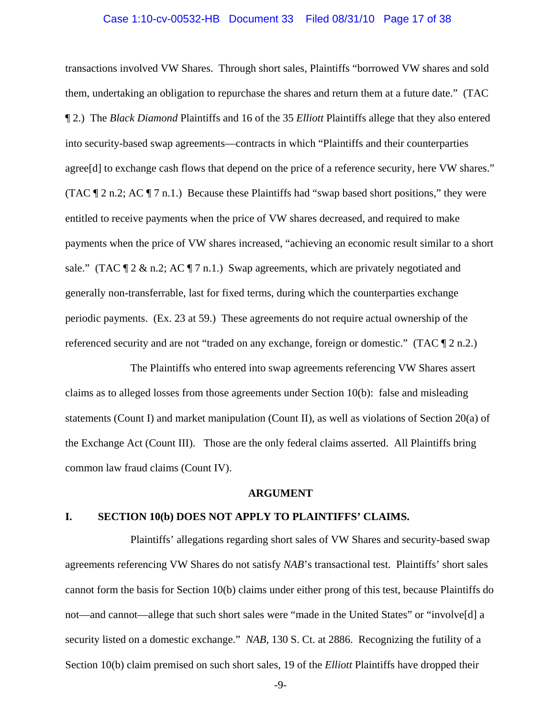#### Case 1:10-cv-00532-HB Document 33 Filed 08/31/10 Page 17 of 38

transactions involved VW Shares. Through short sales, Plaintiffs "borrowed VW shares and sold them, undertaking an obligation to repurchase the shares and return them at a future date." (TAC ¶ 2.) The *Black Diamond* Plaintiffs and 16 of the 35 *Elliott* Plaintiffs allege that they also entered into security-based swap agreements—contracts in which "Plaintiffs and their counterparties agree[d] to exchange cash flows that depend on the price of a reference security, here VW shares." (TAC  $\P$  2 n.2; AC  $\P$  7 n.1.) Because these Plaintiffs had "swap based short positions," they were entitled to receive payments when the price of VW shares decreased, and required to make payments when the price of VW shares increased, "achieving an economic result similar to a short sale." (TAC  $\mathbb{I}$  2 & n.2; AC  $\mathbb{I}$  7 n.1.) Swap agreements, which are privately negotiated and generally non-transferrable, last for fixed terms, during which the counterparties exchange periodic payments. (Ex. 23 at 59.) These agreements do not require actual ownership of the referenced security and are not "traded on any exchange, foreign or domestic." (TAC  $\P$  2 n.2.)

The Plaintiffs who entered into swap agreements referencing VW Shares assert claims as to alleged losses from those agreements under Section 10(b): false and misleading statements (Count I) and market manipulation (Count II), as well as violations of Section 20(a) of the Exchange Act (Count III). Those are the only federal claims asserted. All Plaintiffs bring common law fraud claims (Count IV).

#### **ARGUMENT**

#### **I. SECTION 10(b) DOES NOT APPLY TO PLAINTIFFS' CLAIMS.**

Plaintiffs' allegations regarding short sales of VW Shares and security-based swap agreements referencing VW Shares do not satisfy *NAB*'s transactional test. Plaintiffs' short sales cannot form the basis for Section 10(b) claims under either prong of this test, because Plaintiffs do not—and cannot—allege that such short sales were "made in the United States" or "involve[d] a security listed on a domestic exchange." *NAB*, 130 S. Ct. at 2886. Recognizing the futility of a Section 10(b) claim premised on such short sales, 19 of the *Elliott* Plaintiffs have dropped their

-9-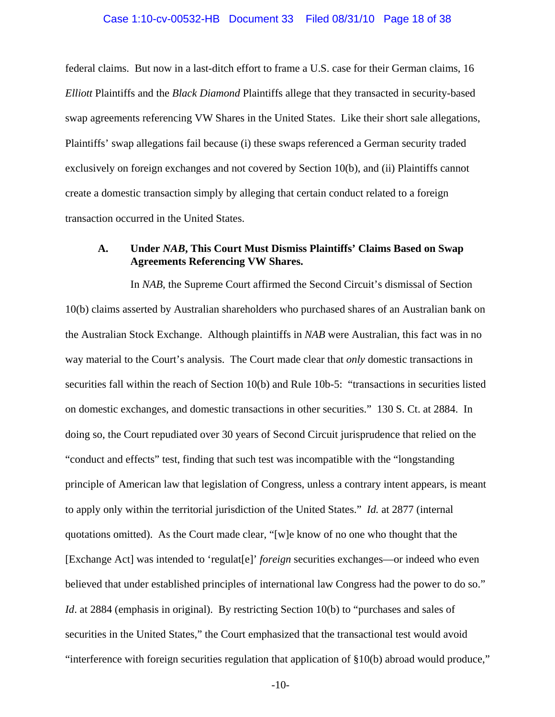#### Case 1:10-cv-00532-HB Document 33 Filed 08/31/10 Page 18 of 38

federal claims. But now in a last-ditch effort to frame a U.S. case for their German claims, 16 *Elliott* Plaintiffs and the *Black Diamond* Plaintiffs allege that they transacted in security-based swap agreements referencing VW Shares in the United States. Like their short sale allegations, Plaintiffs' swap allegations fail because (i) these swaps referenced a German security traded exclusively on foreign exchanges and not covered by Section 10(b), and (ii) Plaintiffs cannot create a domestic transaction simply by alleging that certain conduct related to a foreign transaction occurred in the United States.

# **A. Under** *NAB***, This Court Must Dismiss Plaintiffs' Claims Based on Swap Agreements Referencing VW Shares.**

In *NAB*, the Supreme Court affirmed the Second Circuit's dismissal of Section 10(b) claims asserted by Australian shareholders who purchased shares of an Australian bank on the Australian Stock Exchange. Although plaintiffs in *NAB* were Australian, this fact was in no way material to the Court's analysis. The Court made clear that *only* domestic transactions in securities fall within the reach of Section 10(b) and Rule 10b-5: "transactions in securities listed on domestic exchanges, and domestic transactions in other securities." 130 S. Ct. at 2884. In doing so, the Court repudiated over 30 years of Second Circuit jurisprudence that relied on the "conduct and effects" test, finding that such test was incompatible with the "longstanding principle of American law that legislation of Congress, unless a contrary intent appears, is meant to apply only within the territorial jurisdiction of the United States." *Id.* at 2877 (internal quotations omitted). As the Court made clear, "[w]e know of no one who thought that the [Exchange Act] was intended to 'regulat[e]' *foreign* securities exchanges—or indeed who even believed that under established principles of international law Congress had the power to do so." *Id.* at 2884 (emphasis in original). By restricting Section 10(b) to "purchases and sales of securities in the United States," the Court emphasized that the transactional test would avoid "interference with foreign securities regulation that application of §10(b) abroad would produce,"

-10-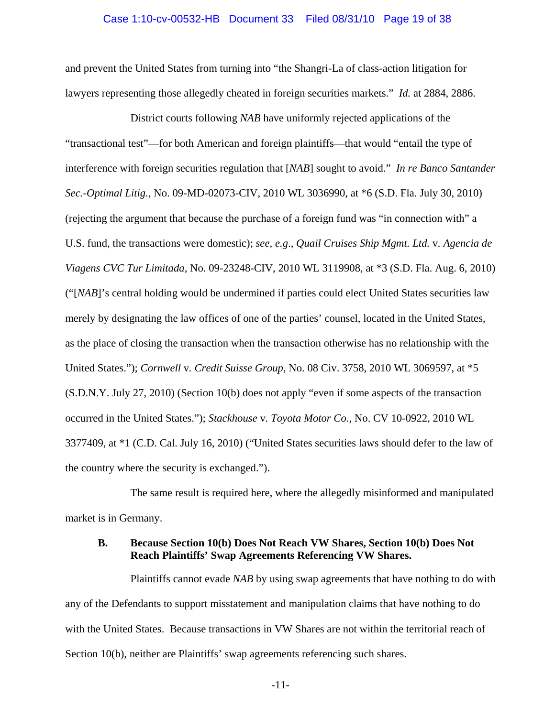#### Case 1:10-cv-00532-HB Document 33 Filed 08/31/10 Page 19 of 38

and prevent the United States from turning into "the Shangri-La of class-action litigation for lawyers representing those allegedly cheated in foreign securities markets." *Id.* at 2884, 2886.

District courts following *NAB* have uniformly rejected applications of the "transactional test"—for both American and foreign plaintiffs—that would "entail the type of interference with foreign securities regulation that [*NAB*] sought to avoid." *In re Banco Santander Sec.-Optimal Litig.,* No. 09-MD-02073-CIV, 2010 WL 3036990, at \*6 (S.D. Fla. July 30, 2010) (rejecting the argument that because the purchase of a foreign fund was "in connection with" a U.S. fund, the transactions were domestic); *see, e.g*., *Quail Cruises Ship Mgmt. Ltd.* v*. Agencia de Viagens CVC Tur Limitada,* No. 09-23248-CIV, 2010 WL 3119908, at \*3 (S.D. Fla. Aug. 6, 2010) ("[*NAB*]'s central holding would be undermined if parties could elect United States securities law merely by designating the law offices of one of the parties' counsel, located in the United States, as the place of closing the transaction when the transaction otherwise has no relationship with the United States."); *Cornwell* v*. Credit Suisse Group,* No. 08 Civ. 3758, 2010 WL 3069597, at \*5 (S.D.N.Y. July 27, 2010) (Section 10(b) does not apply "even if some aspects of the transaction occurred in the United States."); *Stackhouse* v*. Toyota Motor Co*., No. CV 10-0922, 2010 WL 3377409, at \*1 (C.D. Cal. July 16, 2010) ("United States securities laws should defer to the law of the country where the security is exchanged.").

The same result is required here, where the allegedly misinformed and manipulated market is in Germany.

## **B. Because Section 10(b) Does Not Reach VW Shares, Section 10(b) Does Not Reach Plaintiffs' Swap Agreements Referencing VW Shares.**

Plaintiffs cannot evade *NAB* by using swap agreements that have nothing to do with any of the Defendants to support misstatement and manipulation claims that have nothing to do with the United States. Because transactions in VW Shares are not within the territorial reach of Section 10(b), neither are Plaintiffs' swap agreements referencing such shares.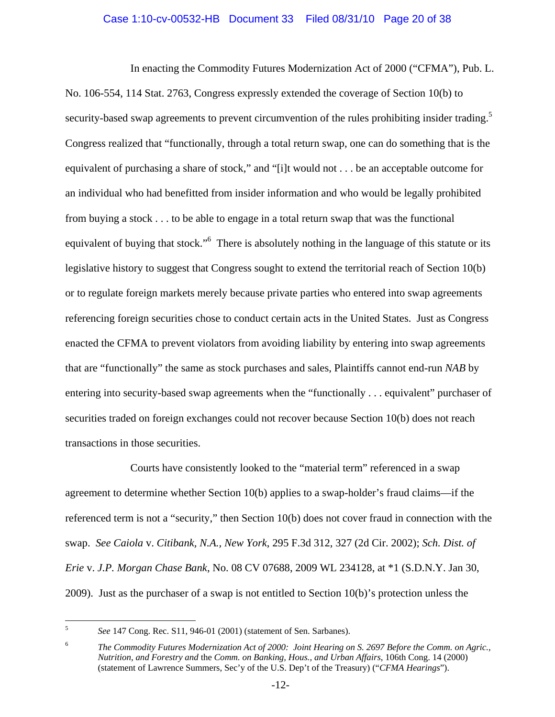## Case 1:10-cv-00532-HB Document 33 Filed 08/31/10 Page 20 of 38

In enacting the Commodity Futures Modernization Act of 2000 ("CFMA"), Pub. L. No. 106-554, 114 Stat. 2763, Congress expressly extended the coverage of Section 10(b) to security-based swap agreements to prevent circumvention of the rules prohibiting insider trading.<sup>5</sup> Congress realized that "functionally, through a total return swap, one can do something that is the equivalent of purchasing a share of stock," and "[i]t would not . . . be an acceptable outcome for an individual who had benefitted from insider information and who would be legally prohibited from buying a stock . . . to be able to engage in a total return swap that was the functional equivalent of buying that stock."<sup>6</sup> There is absolutely nothing in the language of this statute or its legislative history to suggest that Congress sought to extend the territorial reach of Section 10(b) or to regulate foreign markets merely because private parties who entered into swap agreements referencing foreign securities chose to conduct certain acts in the United States. Just as Congress enacted the CFMA to prevent violators from avoiding liability by entering into swap agreements that are "functionally" the same as stock purchases and sales, Plaintiffs cannot end-run *NAB* by entering into security-based swap agreements when the "functionally . . . equivalent" purchaser of securities traded on foreign exchanges could not recover because Section 10(b) does not reach transactions in those securities.

Courts have consistently looked to the "material term" referenced in a swap agreement to determine whether Section 10(b) applies to a swap-holder's fraud claims—if the referenced term is not a "security," then Section 10(b) does not cover fraud in connection with the swap. *See Caiola* v. *Citibank, N.A., New York*, 295 F.3d 312, 327 (2d Cir. 2002); *Sch. Dist. of Erie* v. *J.P. Morgan Chase Bank*, No. 08 CV 07688, 2009 WL 234128, at \*1 (S.D.N.Y. Jan 30, 2009). Just as the purchaser of a swap is not entitled to Section 10(b)'s protection unless the

 5 *See* 147 Cong. Rec. S11, 946-01 (2001) (statement of Sen. Sarbanes).

<sup>6</sup> *The Commodity Futures Modernization Act of 2000: Joint Hearing on S. 2697 Before the Comm. on Agric., Nutrition, and Forestry and* the *Comm. on Banking, Hous., and Urban Affairs*, 106th Cong. 14 (2000) (statement of Lawrence Summers, Sec'y of the U.S. Dep't of the Treasury) ("*CFMA Hearings*").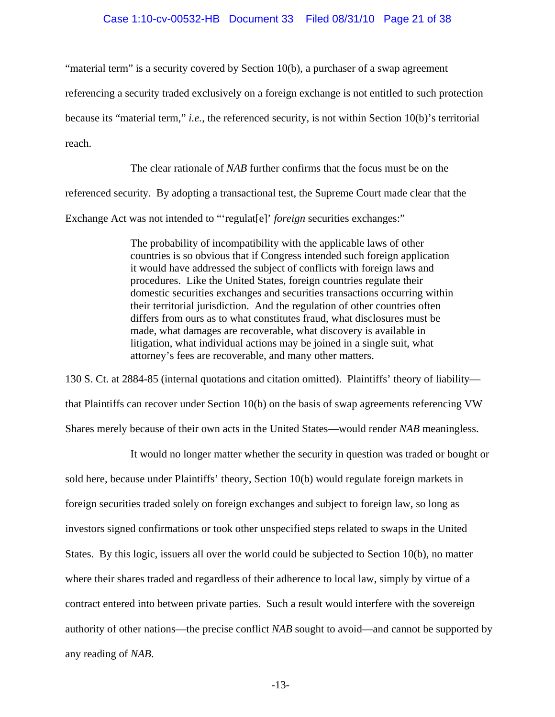## Case 1:10-cv-00532-HB Document 33 Filed 08/31/10 Page 21 of 38

"material term" is a security covered by Section 10(b), a purchaser of a swap agreement

referencing a security traded exclusively on a foreign exchange is not entitled to such protection

because its "material term," *i.e.*, the referenced security, is not within Section 10(b)'s territorial

reach.

The clear rationale of *NAB* further confirms that the focus must be on the

referenced security. By adopting a transactional test, the Supreme Court made clear that the

Exchange Act was not intended to "'regulat[e]' *foreign* securities exchanges:"

The probability of incompatibility with the applicable laws of other countries is so obvious that if Congress intended such foreign application it would have addressed the subject of conflicts with foreign laws and procedures. Like the United States, foreign countries regulate their domestic securities exchanges and securities transactions occurring within their territorial jurisdiction. And the regulation of other countries often differs from ours as to what constitutes fraud, what disclosures must be made, what damages are recoverable, what discovery is available in litigation, what individual actions may be joined in a single suit, what attorney's fees are recoverable, and many other matters.

130 S. Ct. at 2884-85 (internal quotations and citation omitted). Plaintiffs' theory of liability that Plaintiffs can recover under Section 10(b) on the basis of swap agreements referencing VW Shares merely because of their own acts in the United States—would render *NAB* meaningless.

It would no longer matter whether the security in question was traded or bought or sold here, because under Plaintiffs' theory, Section 10(b) would regulate foreign markets in foreign securities traded solely on foreign exchanges and subject to foreign law, so long as investors signed confirmations or took other unspecified steps related to swaps in the United States. By this logic, issuers all over the world could be subjected to Section 10(b), no matter where their shares traded and regardless of their adherence to local law, simply by virtue of a contract entered into between private parties. Such a result would interfere with the sovereign authority of other nations—the precise conflict *NAB* sought to avoid—and cannot be supported by any reading of *NAB*.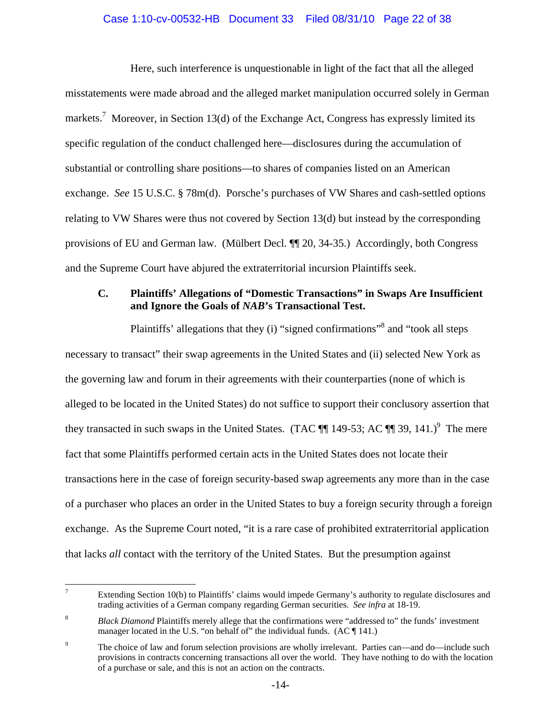# Case 1:10-cv-00532-HB Document 33 Filed 08/31/10 Page 22 of 38

Here, such interference is unquestionable in light of the fact that all the alleged misstatements were made abroad and the alleged market manipulation occurred solely in German markets.<sup>7</sup> Moreover, in Section 13(d) of the Exchange Act, Congress has expressly limited its specific regulation of the conduct challenged here—disclosures during the accumulation of substantial or controlling share positions—to shares of companies listed on an American exchange. *See* 15 U.S.C. § 78m(d). Porsche's purchases of VW Shares and cash-settled options relating to VW Shares were thus not covered by Section 13(d) but instead by the corresponding provisions of EU and German law. (Mülbert Decl. ¶¶ 20, 34-35.) Accordingly, both Congress and the Supreme Court have abjured the extraterritorial incursion Plaintiffs seek.

# **C. Plaintiffs' Allegations of "Domestic Transactions" in Swaps Are Insufficient and Ignore the Goals of** *NAB***'s Transactional Test.**

Plaintiffs' allegations that they (i) "signed confirmations"<sup>8</sup> and "took all steps necessary to transact" their swap agreements in the United States and (ii) selected New York as the governing law and forum in their agreements with their counterparties (none of which is alleged to be located in the United States) do not suffice to support their conclusory assertion that they transacted in such swaps in the United States. (TAC  $\P$  149-53; AC  $\P$  39, 141.)<sup>9</sup> The mere fact that some Plaintiffs performed certain acts in the United States does not locate their transactions here in the case of foreign security-based swap agreements any more than in the case of a purchaser who places an order in the United States to buy a foreign security through a foreign exchange. As the Supreme Court noted, "it is a rare case of prohibited extraterritorial application that lacks *all* contact with the territory of the United States. But the presumption against

<sup>-&</sup>lt;br>7 Extending Section 10(b) to Plaintiffs' claims would impede Germany's authority to regulate disclosures and trading activities of a German company regarding German securities. *See infra* at 18-19.

<sup>8</sup> *Black Diamond* Plaintiffs merely allege that the confirmations were "addressed to" the funds' investment manager located in the U.S. "on behalf of" the individual funds.  $(AC \parallel 141.)$ 

<sup>9</sup> The choice of law and forum selection provisions are wholly irrelevant. Parties can—and do—include such provisions in contracts concerning transactions all over the world. They have nothing to do with the location of a purchase or sale, and this is not an action on the contracts.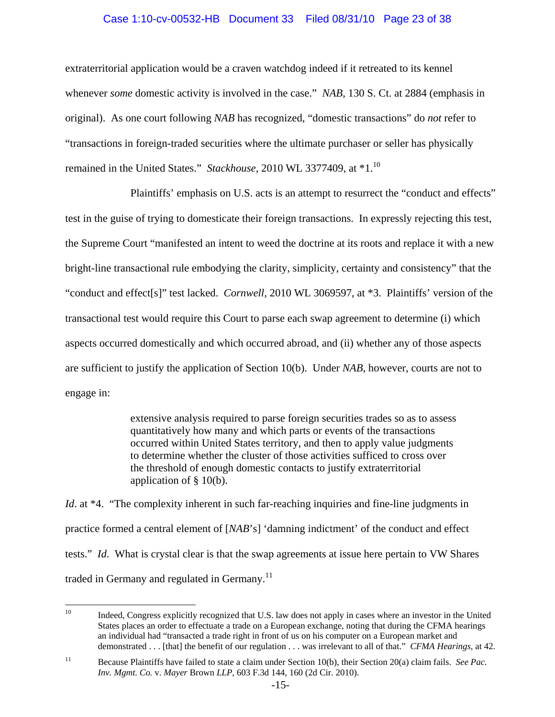## Case 1:10-cv-00532-HB Document 33 Filed 08/31/10 Page 23 of 38

extraterritorial application would be a craven watchdog indeed if it retreated to its kennel whenever *some* domestic activity is involved in the case." *NAB*, 130 S. Ct. at 2884 (emphasis in original). As one court following *NAB* has recognized, "domestic transactions" do *not* refer to "transactions in foreign-traded securities where the ultimate purchaser or seller has physically remained in the United States." *Stackhouse*, 2010 WL 3377409, at \*1.10

Plaintiffs' emphasis on U.S. acts is an attempt to resurrect the "conduct and effects" test in the guise of trying to domesticate their foreign transactions. In expressly rejecting this test, the Supreme Court "manifested an intent to weed the doctrine at its roots and replace it with a new bright-line transactional rule embodying the clarity, simplicity, certainty and consistency" that the "conduct and effect[s]" test lacked. *Cornwell*, 2010 WL 3069597, at \*3. Plaintiffs' version of the transactional test would require this Court to parse each swap agreement to determine (i) which aspects occurred domestically and which occurred abroad, and (ii) whether any of those aspects are sufficient to justify the application of Section 10(b). Under *NAB*, however, courts are not to engage in:

> extensive analysis required to parse foreign securities trades so as to assess quantitatively how many and which parts or events of the transactions occurred within United States territory, and then to apply value judgments to determine whether the cluster of those activities sufficed to cross over the threshold of enough domestic contacts to justify extraterritorial application of § 10(b).

*Id.* at \*4. "The complexity inherent in such far-reaching inquiries and fine-line judgments in practice formed a central element of [*NAB*'s] 'damning indictment' of the conduct and effect tests." *Id*. What is crystal clear is that the swap agreements at issue here pertain to VW Shares traded in Germany and regulated in Germany.<sup>11</sup>

 $10\,$ 10 Indeed, Congress explicitly recognized that U.S. law does not apply in cases where an investor in the United States places an order to effectuate a trade on a European exchange, noting that during the CFMA hearings an individual had "transacted a trade right in front of us on his computer on a European market and demonstrated . . . [that] the benefit of our regulation . . . was irrelevant to all of that." *CFMA Hearings*, at 42.

<sup>11</sup> Because Plaintiffs have failed to state a claim under Section 10(b), their Section 20(a) claim fails. *See Pac. Inv. Mgmt. Co.* v. *Mayer* Brown *LLP*, 603 F.3d 144, 160 (2d Cir. 2010).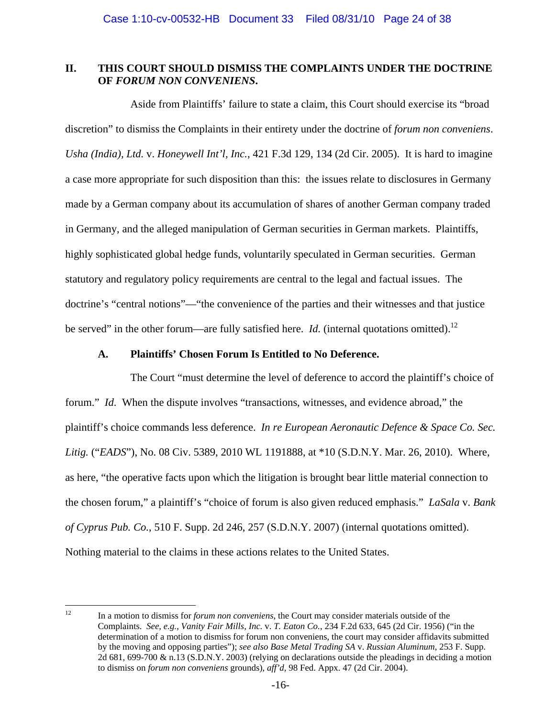## **II. THIS COURT SHOULD DISMISS THE COMPLAINTS UNDER THE DOCTRINE OF** *FORUM NON CONVENIENS***.**

Aside from Plaintiffs' failure to state a claim, this Court should exercise its "broad discretion" to dismiss the Complaints in their entirety under the doctrine of *forum non conveniens*. *Usha (India), Ltd.* v. *Honeywell Int'l, Inc.*, 421 F.3d 129, 134 (2d Cir. 2005). It is hard to imagine a case more appropriate for such disposition than this: the issues relate to disclosures in Germany made by a German company about its accumulation of shares of another German company traded in Germany, and the alleged manipulation of German securities in German markets. Plaintiffs, highly sophisticated global hedge funds, voluntarily speculated in German securities. German statutory and regulatory policy requirements are central to the legal and factual issues. The doctrine's "central notions"—"the convenience of the parties and their witnesses and that justice be served" in the other forum—are fully satisfied here. *Id.* (internal quotations omitted).<sup>12</sup>

## **A. Plaintiffs' Chosen Forum Is Entitled to No Deference.**

The Court "must determine the level of deference to accord the plaintiff's choice of forum." *Id*. When the dispute involves "transactions, witnesses, and evidence abroad," the plaintiff's choice commands less deference. *In re European Aeronautic Defence & Space Co. Sec. Litig.* ("*EADS*"), No. 08 Civ. 5389, 2010 WL 1191888, at \*10 (S.D.N.Y. Mar. 26, 2010). Where, as here, "the operative facts upon which the litigation is brought bear little material connection to the chosen forum," a plaintiff's "choice of forum is also given reduced emphasis." *LaSala* v. *Bank of Cyprus Pub. Co.*, 510 F. Supp. 2d 246, 257 (S.D.N.Y. 2007) (internal quotations omitted). Nothing material to the claims in these actions relates to the United States.

 $12$ 12 In a motion to dismiss for *forum non conveniens*, the Court may consider materials outside of the Complaints. *See, e.g.*, *Vanity Fair Mills, Inc*. v. *T. Eaton Co.*, 234 F.2d 633, 645 (2d Cir. 1956) ("in the determination of a motion to dismiss for forum non conveniens, the court may consider affidavits submitted by the moving and opposing parties"); *see also Base Metal Trading SA* v. *Russian Aluminum*, 253 F. Supp. 2d 681, 699-700 & n.13 (S.D.N.Y. 2003) (relying on declarations outside the pleadings in deciding a motion to dismiss on *forum non conveniens* grounds), *aff'd*, 98 Fed. Appx. 47 (2d Cir. 2004).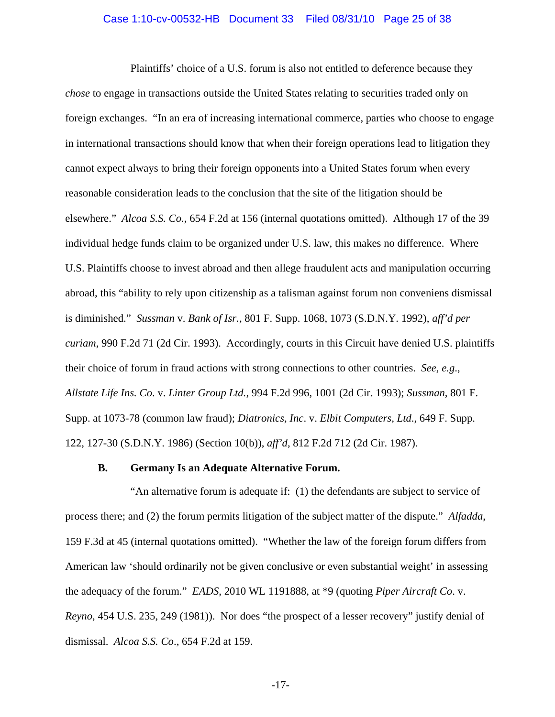#### Case 1:10-cv-00532-HB Document 33 Filed 08/31/10 Page 25 of 38

Plaintiffs' choice of a U.S. forum is also not entitled to deference because they *chose* to engage in transactions outside the United States relating to securities traded only on foreign exchanges. "In an era of increasing international commerce, parties who choose to engage in international transactions should know that when their foreign operations lead to litigation they cannot expect always to bring their foreign opponents into a United States forum when every reasonable consideration leads to the conclusion that the site of the litigation should be elsewhere." *Alcoa S.S. Co.*, 654 F.2d at 156 (internal quotations omitted). Although 17 of the 39 individual hedge funds claim to be organized under U.S. law, this makes no difference. Where U.S. Plaintiffs choose to invest abroad and then allege fraudulent acts and manipulation occurring abroad, this "ability to rely upon citizenship as a talisman against forum non conveniens dismissal is diminished." *Sussman* v. *Bank of Isr.*, 801 F. Supp. 1068, 1073 (S.D.N.Y. 1992), *aff'd per curiam*, 990 F.2d 71 (2d Cir. 1993). Accordingly, courts in this Circuit have denied U.S. plaintiffs their choice of forum in fraud actions with strong connections to other countries. *See, e.g*., *Allstate Life Ins. Co*. v. *Linter Group Ltd.*, 994 F.2d 996, 1001 (2d Cir. 1993); *Sussman*, 801 F. Supp. at 1073-78 (common law fraud); *Diatronics, Inc*. v. *Elbit Computers, Ltd*., 649 F. Supp. 122, 127-30 (S.D.N.Y. 1986) (Section 10(b)), *aff'd*, 812 F.2d 712 (2d Cir. 1987).

## **B. Germany Is an Adequate Alternative Forum.**

"An alternative forum is adequate if: (1) the defendants are subject to service of process there; and (2) the forum permits litigation of the subject matter of the dispute." *Alfadda*, 159 F.3d at 45 (internal quotations omitted). "Whether the law of the foreign forum differs from American law 'should ordinarily not be given conclusive or even substantial weight' in assessing the adequacy of the forum." *EADS*, 2010 WL 1191888, at \*9 (quoting *Piper Aircraft Co*. v. *Reyno*, 454 U.S. 235, 249 (1981)). Nor does "the prospect of a lesser recovery" justify denial of dismissal. *Alcoa S.S. Co*., 654 F.2d at 159.

-17-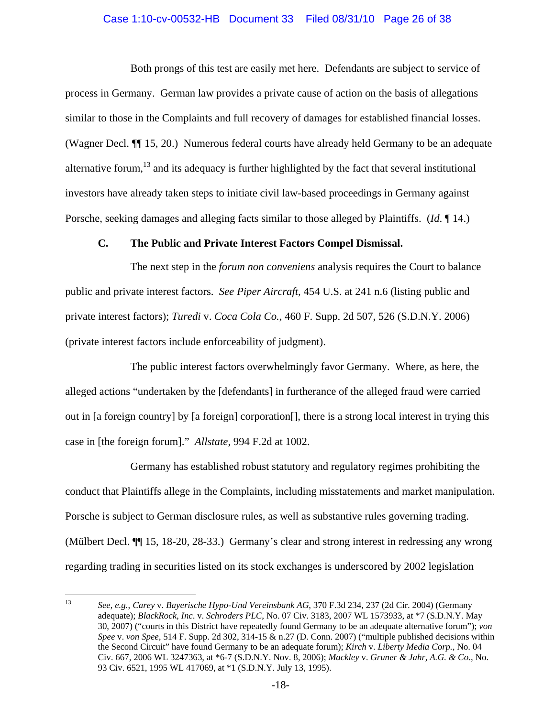## Case 1:10-cv-00532-HB Document 33 Filed 08/31/10 Page 26 of 38

Both prongs of this test are easily met here. Defendants are subject to service of process in Germany. German law provides a private cause of action on the basis of allegations similar to those in the Complaints and full recovery of damages for established financial losses. (Wagner Decl. ¶¶ 15, 20.) Numerous federal courts have already held Germany to be an adequate alternative forum,<sup>13</sup> and its adequacy is further highlighted by the fact that several institutional investors have already taken steps to initiate civil law-based proceedings in Germany against Porsche, seeking damages and alleging facts similar to those alleged by Plaintiffs. (*Id*. ¶ 14.)

## **C. The Public and Private Interest Factors Compel Dismissal.**

The next step in the *forum non conveniens* analysis requires the Court to balance public and private interest factors. *See Piper Aircraft*, 454 U.S. at 241 n.6 (listing public and private interest factors); *Turedi* v. *Coca Cola Co.*, 460 F. Supp. 2d 507, 526 (S.D.N.Y. 2006) (private interest factors include enforceability of judgment).

The public interest factors overwhelmingly favor Germany. Where, as here, the alleged actions "undertaken by the [defendants] in furtherance of the alleged fraud were carried out in [a foreign country] by [a foreign] corporation[], there is a strong local interest in trying this case in [the foreign forum]." *Allstate*, 994 F.2d at 1002.

Germany has established robust statutory and regulatory regimes prohibiting the conduct that Plaintiffs allege in the Complaints, including misstatements and market manipulation. Porsche is subject to German disclosure rules, as well as substantive rules governing trading. (Mülbert Decl. ¶¶ 15, 18-20, 28-33.) Germany's clear and strong interest in redressing any wrong regarding trading in securities listed on its stock exchanges is underscored by 2002 legislation

<sup>13</sup> 13 *See, e.g.*, *Carey* v. *Bayerische Hypo-Und Vereinsbank AG*, 370 F.3d 234, 237 (2d Cir. 2004) (Germany adequate); *BlackRock, Inc*. v. *Schroders PLC*, No. 07 Civ. 3183, 2007 WL 1573933, at \*7 (S.D.N.Y. May 30, 2007) ("courts in this District have repeatedly found Germany to be an adequate alternative forum"); *von Spee* v. *von Spee*, 514 F. Supp. 2d 302, 314-15 & n.27 (D. Conn. 2007) ("multiple published decisions within the Second Circuit" have found Germany to be an adequate forum); *Kirch* v. *Liberty Media Corp.*, No. 04 Civ. 667, 2006 WL 3247363, at \*6-7 (S.D.N.Y. Nov. 8, 2006); *Mackley* v. *Gruner & Jahr, A.G. & Co*., No. 93 Civ. 6521, 1995 WL 417069, at \*1 (S.D.N.Y. July 13, 1995).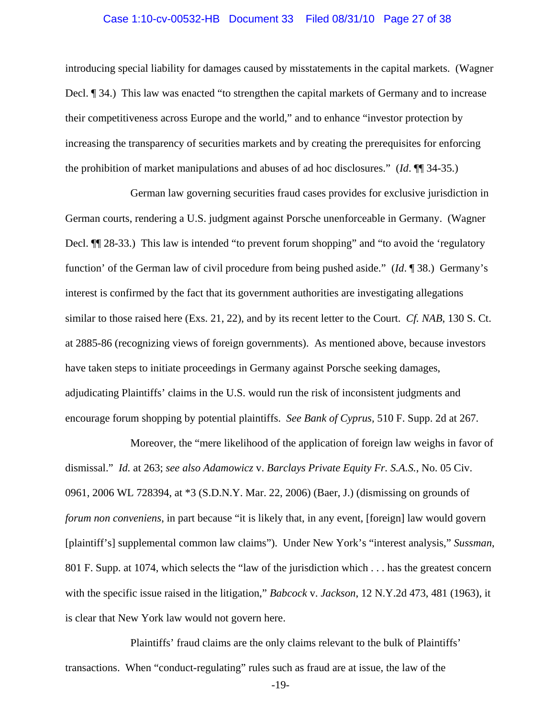#### Case 1:10-cv-00532-HB Document 33 Filed 08/31/10 Page 27 of 38

introducing special liability for damages caused by misstatements in the capital markets. (Wagner Decl. ¶ 34.) This law was enacted "to strengthen the capital markets of Germany and to increase their competitiveness across Europe and the world," and to enhance "investor protection by increasing the transparency of securities markets and by creating the prerequisites for enforcing the prohibition of market manipulations and abuses of ad hoc disclosures." (*Id*. ¶¶ 34-35.)

German law governing securities fraud cases provides for exclusive jurisdiction in German courts, rendering a U.S. judgment against Porsche unenforceable in Germany. (Wagner Decl.  $\P$  28-33.) This law is intended "to prevent forum shopping" and "to avoid the 'regulatory function' of the German law of civil procedure from being pushed aside." (*Id*. ¶ 38.) Germany's interest is confirmed by the fact that its government authorities are investigating allegations similar to those raised here (Exs. 21, 22), and by its recent letter to the Court. *Cf. NAB*, 130 S. Ct. at 2885-86 (recognizing views of foreign governments). As mentioned above, because investors have taken steps to initiate proceedings in Germany against Porsche seeking damages, adjudicating Plaintiffs' claims in the U.S. would run the risk of inconsistent judgments and encourage forum shopping by potential plaintiffs. *See Bank of Cyprus,* 510 F. Supp. 2d at 267.

Moreover, the "mere likelihood of the application of foreign law weighs in favor of dismissal." *Id.* at 263; *see also Adamowicz* v. *Barclays Private Equity Fr. S.A.S.*, No. 05 Civ. 0961, 2006 WL 728394, at \*3 (S.D.N.Y. Mar. 22, 2006) (Baer, J.) (dismissing on grounds of *forum non conveniens*, in part because "it is likely that, in any event, [foreign] law would govern [plaintiff's] supplemental common law claims"). Under New York's "interest analysis," *Sussman*, 801 F. Supp. at 1074, which selects the "law of the jurisdiction which . . . has the greatest concern with the specific issue raised in the litigation," *Babcock* v. *Jackson*, 12 N.Y.2d 473, 481 (1963), it is clear that New York law would not govern here.

Plaintiffs' fraud claims are the only claims relevant to the bulk of Plaintiffs' transactions. When "conduct-regulating" rules such as fraud are at issue, the law of the

-19-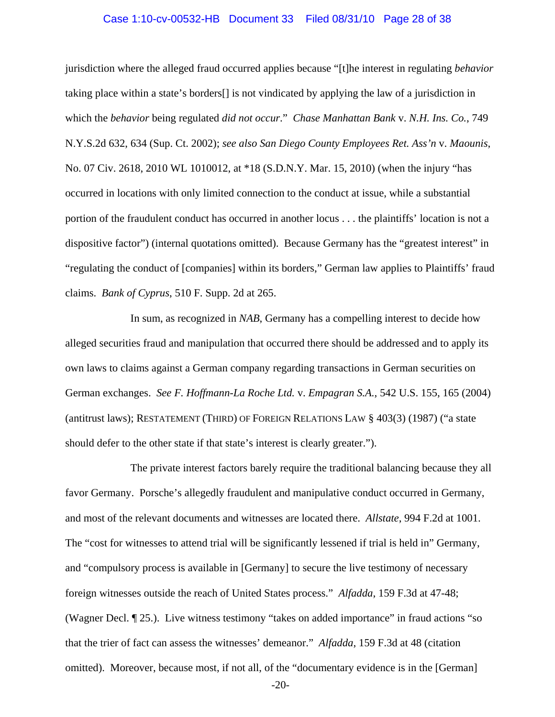#### Case 1:10-cv-00532-HB Document 33 Filed 08/31/10 Page 28 of 38

jurisdiction where the alleged fraud occurred applies because "[t]he interest in regulating *behavior* taking place within a state's borders[] is not vindicated by applying the law of a jurisdiction in which the *behavior* being regulated *did not occur*." *Chase Manhattan Bank* v. *N.H. Ins. Co.*, 749 N.Y.S.2d 632, 634 (Sup. Ct. 2002); *see also San Diego County Employees Ret. Ass'n* v. *Maounis*, No. 07 Civ. 2618, 2010 WL 1010012, at \*18 (S.D.N.Y. Mar. 15, 2010) (when the injury "has occurred in locations with only limited connection to the conduct at issue, while a substantial portion of the fraudulent conduct has occurred in another locus . . . the plaintiffs' location is not a dispositive factor") (internal quotations omitted). Because Germany has the "greatest interest" in "regulating the conduct of [companies] within its borders," German law applies to Plaintiffs' fraud claims. *Bank of Cyprus*, 510 F. Supp. 2d at 265.

In sum, as recognized in *NAB*, Germany has a compelling interest to decide how alleged securities fraud and manipulation that occurred there should be addressed and to apply its own laws to claims against a German company regarding transactions in German securities on German exchanges. *See F. Hoffmann-La Roche Ltd.* v. *Empagran S.A.*, 542 U.S. 155, 165 (2004) (antitrust laws); RESTATEMENT (THIRD) OF FOREIGN RELATIONS LAW § 403(3) (1987) ("a state should defer to the other state if that state's interest is clearly greater.").

The private interest factors barely require the traditional balancing because they all favor Germany. Porsche's allegedly fraudulent and manipulative conduct occurred in Germany, and most of the relevant documents and witnesses are located there. *Allstate*, 994 F.2d at 1001. The "cost for witnesses to attend trial will be significantly lessened if trial is held in" Germany, and "compulsory process is available in [Germany] to secure the live testimony of necessary foreign witnesses outside the reach of United States process." *Alfadda*, 159 F.3d at 47-48; (Wagner Decl. ¶ 25.). Live witness testimony "takes on added importance" in fraud actions "so that the trier of fact can assess the witnesses' demeanor." *Alfadda*, 159 F.3d at 48 (citation omitted). Moreover, because most, if not all, of the "documentary evidence is in the [German]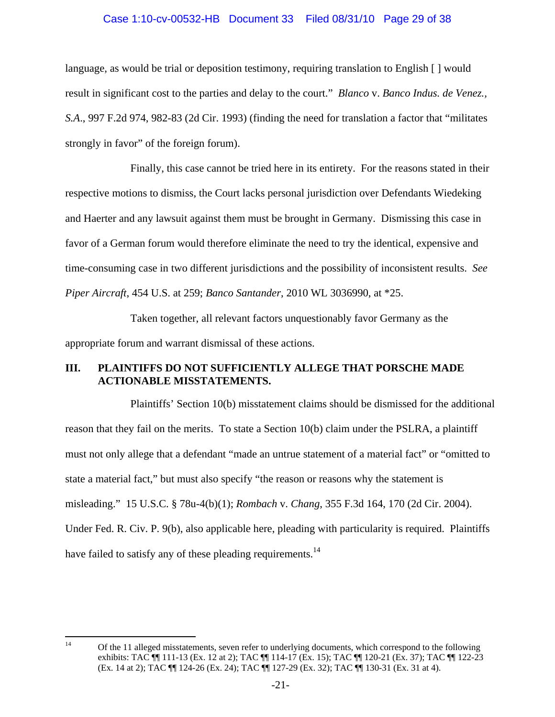# Case 1:10-cv-00532-HB Document 33 Filed 08/31/10 Page 29 of 38

language, as would be trial or deposition testimony, requiring translation to English [ ] would result in significant cost to the parties and delay to the court." *Blanco* v. *Banco Indus. de Venez., S.A*., 997 F.2d 974, 982-83 (2d Cir. 1993) (finding the need for translation a factor that "militates strongly in favor" of the foreign forum).

Finally, this case cannot be tried here in its entirety. For the reasons stated in their respective motions to dismiss, the Court lacks personal jurisdiction over Defendants Wiedeking and Haerter and any lawsuit against them must be brought in Germany. Dismissing this case in favor of a German forum would therefore eliminate the need to try the identical, expensive and time-consuming case in two different jurisdictions and the possibility of inconsistent results. *See Piper Aircraft*, 454 U.S. at 259; *Banco Santander*, 2010 WL 3036990, at \*25.

Taken together, all relevant factors unquestionably favor Germany as the appropriate forum and warrant dismissal of these actions.

# **III. PLAINTIFFS DO NOT SUFFICIENTLY ALLEGE THAT PORSCHE MADE ACTIONABLE MISSTATEMENTS.**

Plaintiffs' Section 10(b) misstatement claims should be dismissed for the additional reason that they fail on the merits. To state a Section 10(b) claim under the PSLRA, a plaintiff must not only allege that a defendant "made an untrue statement of a material fact" or "omitted to state a material fact," but must also specify "the reason or reasons why the statement is misleading." 15 U.S.C. § 78u-4(b)(1); *Rombach* v. *Chang*, 355 F.3d 164, 170 (2d Cir. 2004). Under Fed. R. Civ. P. 9(b), also applicable here, pleading with particularity is required. Plaintiffs have failed to satisfy any of these pleading requirements.<sup>14</sup>

 $14$ 14 Of the 11 alleged misstatements, seven refer to underlying documents, which correspond to the following exhibits: TAC ¶¶ 111-13 (Ex. 12 at 2); TAC ¶¶ 114-17 (Ex. 15); TAC ¶¶ 120-21 (Ex. 37); TAC ¶¶ 122-23 (Ex. 14 at 2); TAC ¶¶ 124-26 (Ex. 24); TAC ¶¶ 127-29 (Ex. 32); TAC ¶¶ 130-31 (Ex. 31 at 4).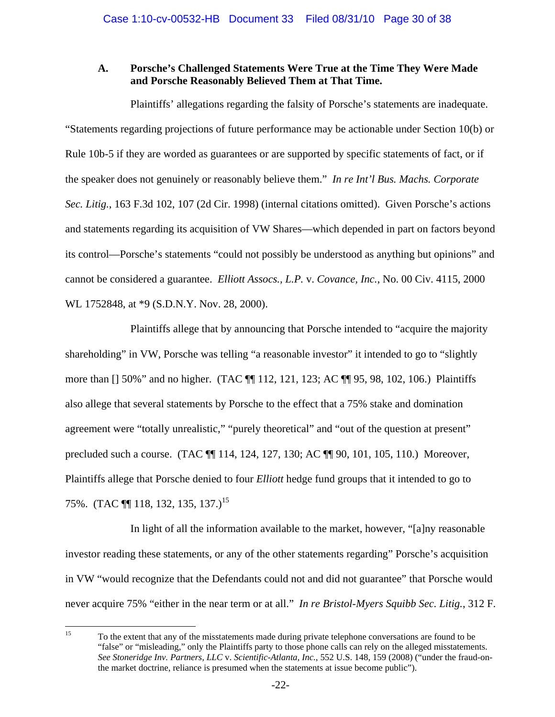# **A. Porsche's Challenged Statements Were True at the Time They Were Made and Porsche Reasonably Believed Them at That Time.**

Plaintiffs' allegations regarding the falsity of Porsche's statements are inadequate. "Statements regarding projections of future performance may be actionable under Section 10(b) or Rule 10b-5 if they are worded as guarantees or are supported by specific statements of fact, or if the speaker does not genuinely or reasonably believe them." *In re Int'l Bus. Machs. Corporate Sec. Litig.*, 163 F.3d 102, 107 (2d Cir. 1998) (internal citations omitted). Given Porsche's actions and statements regarding its acquisition of VW Shares—which depended in part on factors beyond its control—Porsche's statements "could not possibly be understood as anything but opinions" and cannot be considered a guarantee. *Elliott Assocs., L.P.* v. *Covance, Inc.*, No. 00 Civ. 4115, 2000 WL 1752848, at \*9 (S.D.N.Y. Nov. 28, 2000).

Plaintiffs allege that by announcing that Porsche intended to "acquire the majority shareholding" in VW, Porsche was telling "a reasonable investor" it intended to go to "slightly more than [] 50%" and no higher. (TAC ¶¶ 112, 121, 123; AC ¶¶ 95, 98, 102, 106.) Plaintiffs also allege that several statements by Porsche to the effect that a 75% stake and domination agreement were "totally unrealistic," "purely theoretical" and "out of the question at present" precluded such a course. (TAC ¶¶ 114, 124, 127, 130; AC ¶¶ 90, 101, 105, 110.) Moreover, Plaintiffs allege that Porsche denied to four *Elliott* hedge fund groups that it intended to go to 75%. (TAC **[1]** 118, 132, 135, 137.)<sup>15</sup>

In light of all the information available to the market, however, "[a]ny reasonable investor reading these statements, or any of the other statements regarding" Porsche's acquisition in VW "would recognize that the Defendants could not and did not guarantee" that Porsche would never acquire 75% "either in the near term or at all." *In re Bristol-Myers Squibb Sec. Litig.*, 312 F.

 $15\,$ 15 To the extent that any of the misstatements made during private telephone conversations are found to be "false" or "misleading," only the Plaintiffs party to those phone calls can rely on the alleged misstatements. *See Stoneridge Inv. Partners, LLC* v. *Scientific-Atlanta, Inc.*, 552 U.S. 148, 159 (2008) ("under the fraud-onthe market doctrine, reliance is presumed when the statements at issue become public").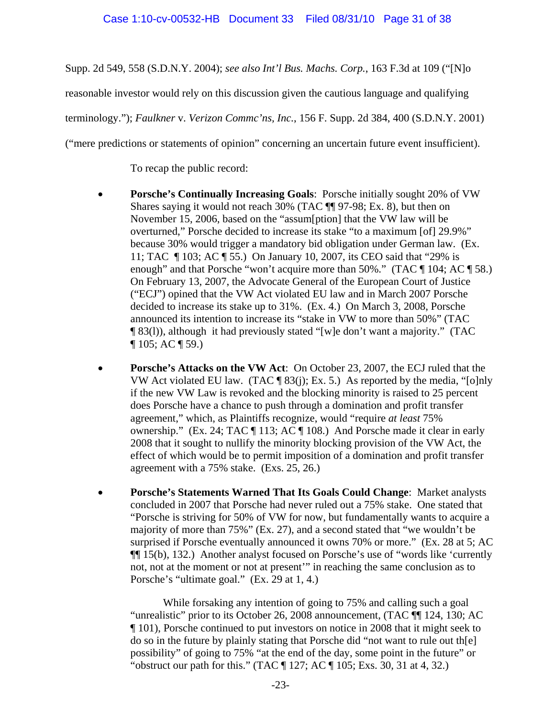Supp. 2d 549, 558 (S.D.N.Y. 2004); *see also Int'l Bus. Machs. Corp.*, 163 F.3d at 109 ("[N]o

reasonable investor would rely on this discussion given the cautious language and qualifying

terminology."); *Faulkner* v. *Verizon Commc'ns, Inc.*, 156 F. Supp. 2d 384, 400 (S.D.N.Y. 2001)

("mere predictions or statements of opinion" concerning an uncertain future event insufficient).

To recap the public record:

- **Porsche's Continually Increasing Goals**: Porsche initially sought 20% of VW Shares saying it would not reach 30% (TAC ¶¶ 97-98; Ex. 8), but then on November 15, 2006, based on the "assum[ption] that the VW law will be overturned," Porsche decided to increase its stake "to a maximum [of] 29.9%" because 30% would trigger a mandatory bid obligation under German law. (Ex. 11; TAC ¶ 103; AC ¶ 55.) On January 10, 2007, its CEO said that "29% is enough" and that Porsche "won't acquire more than 50%." (TAC ¶ 104; AC ¶ 58.) On February 13, 2007, the Advocate General of the European Court of Justice ("ECJ") opined that the VW Act violated EU law and in March 2007 Porsche decided to increase its stake up to 31%. (Ex. 4.) On March 3, 2008, Porsche announced its intention to increase its "stake in VW to more than 50%" (TAC ¶ 83(l)), although it had previously stated "[w]e don't want a majority." (TAC ¶ 105; AC ¶ 59.)
- **Porsche's Attacks on the VW Act**: On October 23, 2007, the ECJ ruled that the VW Act violated EU law. (TAC  $\P$  83(j); Ex. 5.) As reported by the media, "[o]nly if the new VW Law is revoked and the blocking minority is raised to 25 percent does Porsche have a chance to push through a domination and profit transfer agreement," which, as Plaintiffs recognize, would "require *at least* 75% ownership." (Ex. 24; TAC ¶ 113; AC ¶ 108.) And Porsche made it clear in early 2008 that it sought to nullify the minority blocking provision of the VW Act, the effect of which would be to permit imposition of a domination and profit transfer agreement with a 75% stake. (Exs. 25, 26.)
- **Porsche's Statements Warned That Its Goals Could Change**: Market analysts concluded in 2007 that Porsche had never ruled out a 75% stake. One stated that "Porsche is striving for 50% of VW for now, but fundamentally wants to acquire a majority of more than 75%" (Ex. 27), and a second stated that "we wouldn't be surprised if Porsche eventually announced it owns 70% or more." (Ex. 28 at 5; AC ¶¶ 15(b), 132.) Another analyst focused on Porsche's use of "words like 'currently not, not at the moment or not at present'" in reaching the same conclusion as to Porsche's "ultimate goal." (Ex. 29 at 1, 4.)

 While forsaking any intention of going to 75% and calling such a goal "unrealistic" prior to its October 26, 2008 announcement, (TAC ¶¶ 124, 130; AC ¶ 101), Porsche continued to put investors on notice in 2008 that it might seek to do so in the future by plainly stating that Porsche did "not want to rule out th[e] possibility" of going to 75% "at the end of the day, some point in the future" or "obstruct our path for this." (TAC  $\P$  127; AC  $\P$  105; Exs. 30, 31 at 4, 32.)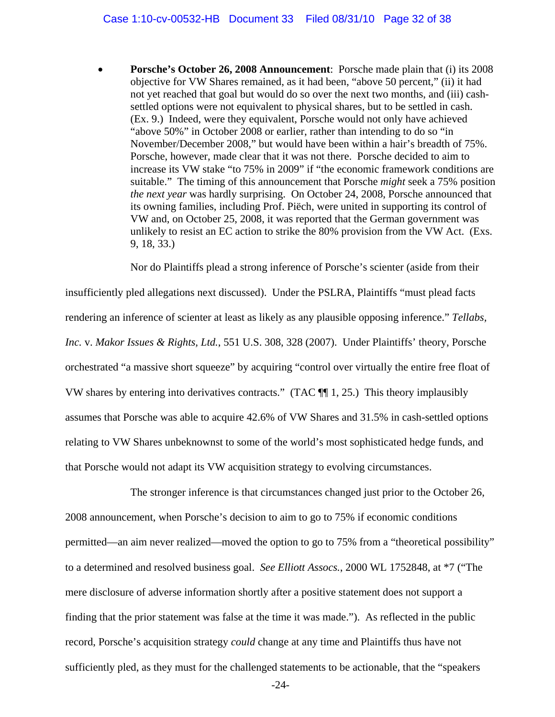• **Porsche's October 26, 2008 Announcement**: Porsche made plain that (i) its 2008 objective for VW Shares remained, as it had been, "above 50 percent," (ii) it had not yet reached that goal but would do so over the next two months, and (iii) cashsettled options were not equivalent to physical shares, but to be settled in cash. (Ex. 9.) Indeed, were they equivalent, Porsche would not only have achieved "above 50%" in October 2008 or earlier, rather than intending to do so "in November/December 2008," but would have been within a hair's breadth of 75%. Porsche, however, made clear that it was not there. Porsche decided to aim to increase its VW stake "to 75% in 2009" if "the economic framework conditions are suitable." The timing of this announcement that Porsche *might* seek a 75% position *the next year* was hardly surprising. On October 24, 2008, Porsche announced that its owning families, including Prof. Piëch, were united in supporting its control of VW and, on October 25, 2008, it was reported that the German government was unlikely to resist an EC action to strike the 80% provision from the VW Act. (Exs. 9, 18, 33.)

Nor do Plaintiffs plead a strong inference of Porsche's scienter (aside from their

insufficiently pled allegations next discussed). Under the PSLRA, Plaintiffs "must plead facts rendering an inference of scienter at least as likely as any plausible opposing inference." *Tellabs, Inc.* v. *Makor Issues & Rights, Ltd.*, 551 U.S. 308, 328 (2007). Under Plaintiffs' theory, Porsche orchestrated "a massive short squeeze" by acquiring "control over virtually the entire free float of VW shares by entering into derivatives contracts." (TAC ¶¶ 1, 25.) This theory implausibly assumes that Porsche was able to acquire 42.6% of VW Shares and 31.5% in cash-settled options relating to VW Shares unbeknownst to some of the world's most sophisticated hedge funds, and that Porsche would not adapt its VW acquisition strategy to evolving circumstances.

The stronger inference is that circumstances changed just prior to the October 26, 2008 announcement, when Porsche's decision to aim to go to 75% if economic conditions permitted—an aim never realized—moved the option to go to 75% from a "theoretical possibility" to a determined and resolved business goal. *See Elliott Assocs.*, 2000 WL 1752848, at \*7 ("The mere disclosure of adverse information shortly after a positive statement does not support a finding that the prior statement was false at the time it was made."). As reflected in the public record, Porsche's acquisition strategy *could* change at any time and Plaintiffs thus have not sufficiently pled, as they must for the challenged statements to be actionable, that the "speakers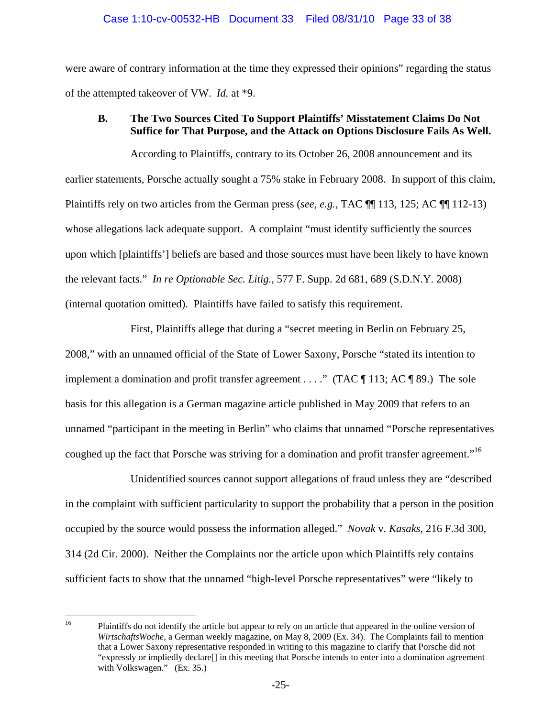were aware of contrary information at the time they expressed their opinions" regarding the status of the attempted takeover of VW. *Id.* at \*9.

## **B. The Two Sources Cited To Support Plaintiffs' Misstatement Claims Do Not Suffice for That Purpose, and the Attack on Options Disclosure Fails As Well.**

According to Plaintiffs, contrary to its October 26, 2008 announcement and its earlier statements, Porsche actually sought a 75% stake in February 2008. In support of this claim, Plaintiffs rely on two articles from the German press (*see, e.g.*, TAC ¶¶ 113, 125; AC ¶¶ 112-13) whose allegations lack adequate support. A complaint "must identify sufficiently the sources upon which [plaintiffs'] beliefs are based and those sources must have been likely to have known the relevant facts." *In re Optionable Sec. Litig.*, 577 F. Supp. 2d 681, 689 (S.D.N.Y. 2008) (internal quotation omitted). Plaintiffs have failed to satisfy this requirement.

First, Plaintiffs allege that during a "secret meeting in Berlin on February 25, 2008," with an unnamed official of the State of Lower Saxony, Porsche "stated its intention to implement a domination and profit transfer agreement . . . ." (TAC ¶ 113; AC ¶ 89.) The sole basis for this allegation is a German magazine article published in May 2009 that refers to an unnamed "participant in the meeting in Berlin" who claims that unnamed "Porsche representatives coughed up the fact that Porsche was striving for a domination and profit transfer agreement."<sup>16</sup>

Unidentified sources cannot support allegations of fraud unless they are "described in the complaint with sufficient particularity to support the probability that a person in the position occupied by the source would possess the information alleged." *Novak* v. *Kasaks*, 216 F.3d 300, 314 (2d Cir. 2000). Neither the Complaints nor the article upon which Plaintiffs rely contains sufficient facts to show that the unnamed "high-level Porsche representatives" were "likely to

 $16\,$ 16 Plaintiffs do not identify the article but appear to rely on an article that appeared in the online version of *WirtschaftsWoche*, a German weekly magazine, on May 8, 2009 (Ex. 34). The Complaints fail to mention that a Lower Saxony representative responded in writing to this magazine to clarify that Porsche did not "expressly or impliedly declare[] in this meeting that Porsche intends to enter into a domination agreement with Volkswagen." (Ex. 35.)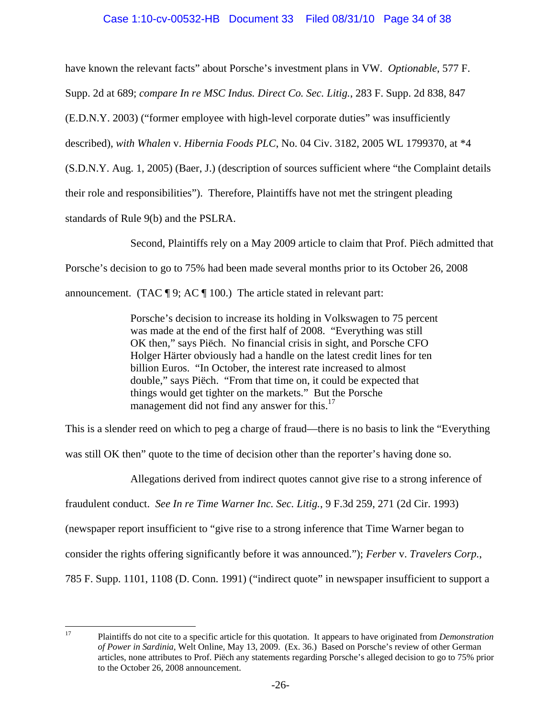# Case 1:10-cv-00532-HB Document 33 Filed 08/31/10 Page 34 of 38

have known the relevant facts" about Porsche's investment plans in VW. *Optionable*, 577 F.

Supp. 2d at 689; *compare In re MSC Indus. Direct Co. Sec. Litig.*, 283 F. Supp. 2d 838, 847

(E.D.N.Y. 2003) ("former employee with high-level corporate duties" was insufficiently

described), *with Whalen* v. *Hibernia Foods PLC*, No. 04 Civ. 3182, 2005 WL 1799370, at \*4

(S.D.N.Y. Aug. 1, 2005) (Baer, J.) (description of sources sufficient where "the Complaint details

their role and responsibilities"). Therefore, Plaintiffs have not met the stringent pleading

standards of Rule 9(b) and the PSLRA.

Second, Plaintiffs rely on a May 2009 article to claim that Prof. Piëch admitted that

Porsche's decision to go to 75% had been made several months prior to its October 26, 2008

announcement. (TAC  $\P$  9; AC  $\P$  100.) The article stated in relevant part:

Porsche's decision to increase its holding in Volkswagen to 75 percent was made at the end of the first half of 2008. "Everything was still OK then," says Piëch. No financial crisis in sight, and Porsche CFO Holger Härter obviously had a handle on the latest credit lines for ten billion Euros. "In October, the interest rate increased to almost double," says Piëch. "From that time on, it could be expected that things would get tighter on the markets." But the Porsche management did not find any answer for this.<sup>17</sup>

This is a slender reed on which to peg a charge of fraud—there is no basis to link the "Everything

was still OK then" quote to the time of decision other than the reporter's having done so.

Allegations derived from indirect quotes cannot give rise to a strong inference of

fraudulent conduct. *See In re Time Warner Inc. Sec. Litig.*, 9 F.3d 259, 271 (2d Cir. 1993)

(newspaper report insufficient to "give rise to a strong inference that Time Warner began to

consider the rights offering significantly before it was announced."); *Ferber* v. *Travelers Corp.*,

785 F. Supp. 1101, 1108 (D. Conn. 1991) ("indirect quote" in newspaper insufficient to support a

<sup>17</sup> 

<sup>17</sup> Plaintiffs do not cite to a specific article for this quotation. It appears to have originated from *Demonstration of Power in Sardinia*, Welt Online, May 13, 2009. (Ex. 36.) Based on Porsche's review of other German articles, none attributes to Prof. Piëch any statements regarding Porsche's alleged decision to go to 75% prior to the October 26, 2008 announcement.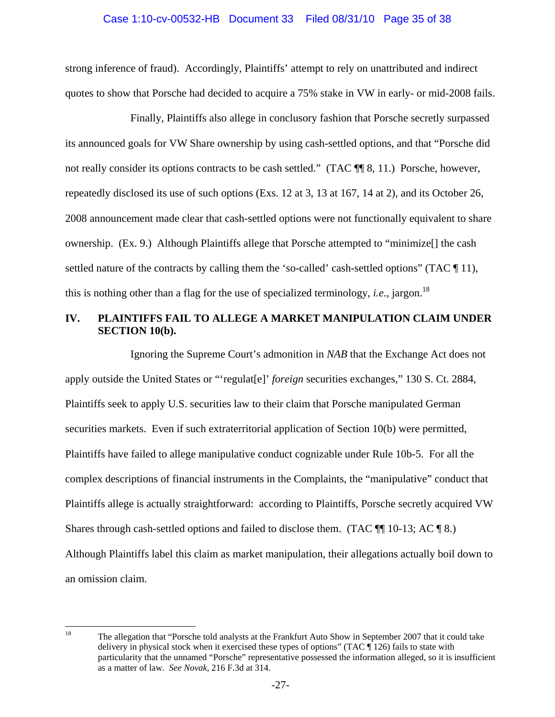#### Case 1:10-cv-00532-HB Document 33 Filed 08/31/10 Page 35 of 38

strong inference of fraud). Accordingly, Plaintiffs' attempt to rely on unattributed and indirect quotes to show that Porsche had decided to acquire a 75% stake in VW in early- or mid-2008 fails.

Finally, Plaintiffs also allege in conclusory fashion that Porsche secretly surpassed its announced goals for VW Share ownership by using cash-settled options, and that "Porsche did not really consider its options contracts to be cash settled." (TAC  $\P$  8, 11.) Porsche, however, repeatedly disclosed its use of such options (Exs. 12 at 3, 13 at 167, 14 at 2), and its October 26, 2008 announcement made clear that cash-settled options were not functionally equivalent to share ownership. (Ex. 9.) Although Plaintiffs allege that Porsche attempted to "minimize[] the cash settled nature of the contracts by calling them the 'so-called' cash-settled options" (TAC \[\epsilon), this is nothing other than a flag for the use of specialized terminology, *i.e.*, jargon.<sup>18</sup>

# **IV. PLAINTIFFS FAIL TO ALLEGE A MARKET MANIPULATION CLAIM UNDER SECTION 10(b).**

Ignoring the Supreme Court's admonition in *NAB* that the Exchange Act does not apply outside the United States or "'regulat[e]' *foreign* securities exchanges," 130 S. Ct. 2884, Plaintiffs seek to apply U.S. securities law to their claim that Porsche manipulated German securities markets. Even if such extraterritorial application of Section 10(b) were permitted, Plaintiffs have failed to allege manipulative conduct cognizable under Rule 10b-5. For all the complex descriptions of financial instruments in the Complaints, the "manipulative" conduct that Plaintiffs allege is actually straightforward: according to Plaintiffs, Porsche secretly acquired VW Shares through cash-settled options and failed to disclose them. (TAC  $\P$  10-13; AC  $\P$  8.) Although Plaintiffs label this claim as market manipulation, their allegations actually boil down to an omission claim.

<sup>18</sup> 

<sup>18</sup> The allegation that "Porsche told analysts at the Frankfurt Auto Show in September 2007 that it could take delivery in physical stock when it exercised these types of options" (TAC [ 126) fails to state with particularity that the unnamed "Porsche" representative possessed the information alleged, so it is insufficient as a matter of law. *See Novak*, 216 F.3d at 314.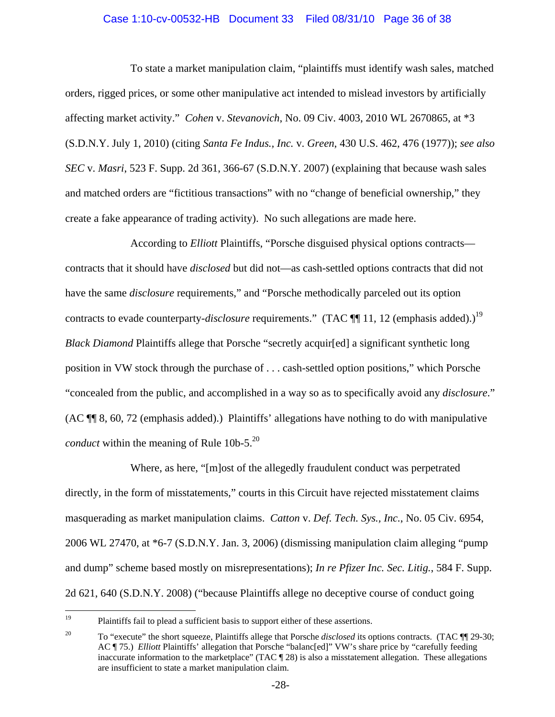## Case 1:10-cv-00532-HB Document 33 Filed 08/31/10 Page 36 of 38

To state a market manipulation claim, "plaintiffs must identify wash sales, matched orders, rigged prices, or some other manipulative act intended to mislead investors by artificially affecting market activity." *Cohen* v. *Stevanovich*, No. 09 Civ. 4003, 2010 WL 2670865, at \*3 (S.D.N.Y. July 1, 2010) (citing *Santa Fe Indus., Inc.* v. *Green*, 430 U.S. 462, 476 (1977)); *see also SEC* v. *Masri*, 523 F. Supp. 2d 361, 366-67 (S.D.N.Y. 2007) (explaining that because wash sales and matched orders are "fictitious transactions" with no "change of beneficial ownership," they create a fake appearance of trading activity). No such allegations are made here.

According to *Elliott* Plaintiffs, "Porsche disguised physical options contracts contracts that it should have *disclosed* but did not—as cash-settled options contracts that did not have the same *disclosure* requirements," and "Porsche methodically parceled out its option contracts to evade counterparty-*disclosure* requirements." (TAC ¶ 11, 12 (emphasis added).)<sup>19</sup> *Black Diamond* Plaintiffs allege that Porsche "secretly acquir[ed] a significant synthetic long position in VW stock through the purchase of . . . cash-settled option positions," which Porsche "concealed from the public, and accomplished in a way so as to specifically avoid any *disclosure*." (AC ¶¶ 8, 60, 72 (emphasis added).) Plaintiffs' allegations have nothing to do with manipulative *conduct* within the meaning of Rule  $10b-5$ <sup>20</sup>

Where, as here, "[m]ost of the allegedly fraudulent conduct was perpetrated directly, in the form of misstatements," courts in this Circuit have rejected misstatement claims masquerading as market manipulation claims. *Catton* v. *Def. Tech. Sys., Inc.*, No. 05 Civ. 6954, 2006 WL 27470, at \*6-7 (S.D.N.Y. Jan. 3, 2006) (dismissing manipulation claim alleging "pump and dump" scheme based mostly on misrepresentations); *In re Pfizer Inc. Sec. Litig.*, 584 F. Supp. 2d 621, 640 (S.D.N.Y. 2008) ("because Plaintiffs allege no deceptive course of conduct going

<sup>19</sup> 19 Plaintiffs fail to plead a sufficient basis to support either of these assertions.

<sup>&</sup>lt;sup>20</sup> To "execute" the short squeeze, Plaintiffs allege that Porsche *disclosed* its options contracts. (TAC ¶ 29-30; AC ¶ 75.) *Elliott* Plaintiffs' allegation that Porsche "balanc[ed]" VW's share price by "carefully feeding inaccurate information to the marketplace" (TAC ¶ 28) is also a misstatement allegation. These allegations are insufficient to state a market manipulation claim.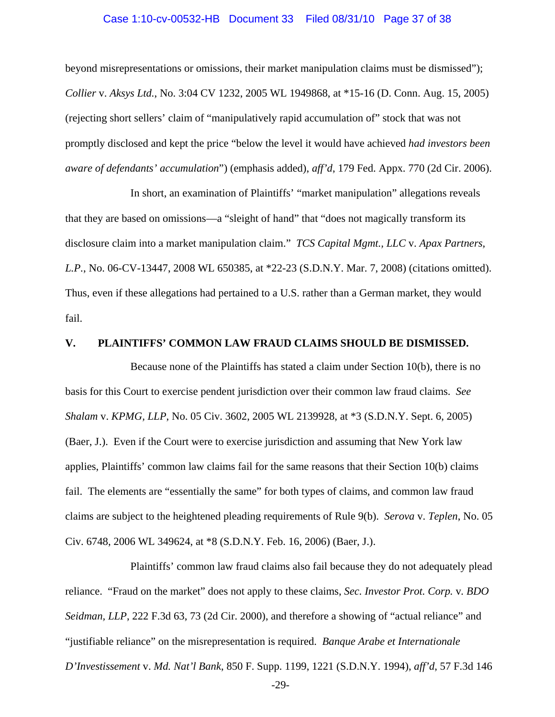#### Case 1:10-cv-00532-HB Document 33 Filed 08/31/10 Page 37 of 38

beyond misrepresentations or omissions, their market manipulation claims must be dismissed"); *Collier* v. *Aksys Ltd.*, No. 3:04 CV 1232, 2005 WL 1949868, at \*15-16 (D. Conn. Aug. 15, 2005) (rejecting short sellers' claim of "manipulatively rapid accumulation of" stock that was not promptly disclosed and kept the price "below the level it would have achieved *had investors been aware of defendants' accumulation*") (emphasis added), *aff'd*, 179 Fed. Appx. 770 (2d Cir. 2006).

In short, an examination of Plaintiffs' "market manipulation" allegations reveals that they are based on omissions—a "sleight of hand" that "does not magically transform its disclosure claim into a market manipulation claim." *TCS Capital Mgmt., LLC* v. *Apax Partners, L.P.*, No. 06-CV-13447, 2008 WL 650385, at \*22-23 (S.D.N.Y. Mar. 7, 2008) (citations omitted). Thus, even if these allegations had pertained to a U.S. rather than a German market, they would fail.

## **V. PLAINTIFFS' COMMON LAW FRAUD CLAIMS SHOULD BE DISMISSED.**

Because none of the Plaintiffs has stated a claim under Section 10(b), there is no basis for this Court to exercise pendent jurisdiction over their common law fraud claims. *See Shalam* v. *KPMG, LLP*, No. 05 Civ. 3602, 2005 WL 2139928, at \*3 (S.D.N.Y. Sept. 6, 2005) (Baer, J.). Even if the Court were to exercise jurisdiction and assuming that New York law applies, Plaintiffs' common law claims fail for the same reasons that their Section 10(b) claims fail. The elements are "essentially the same" for both types of claims, and common law fraud claims are subject to the heightened pleading requirements of Rule 9(b). *Serova* v. *Teplen*, No. 05 Civ. 6748, 2006 WL 349624, at \*8 (S.D.N.Y. Feb. 16, 2006) (Baer, J.).

Plaintiffs' common law fraud claims also fail because they do not adequately plead reliance. "Fraud on the market" does not apply to these claims, *Sec. Investor Prot. Corp.* v*. BDO Seidman, LLP*, 222 F.3d 63, 73 (2d Cir. 2000), and therefore a showing of "actual reliance" and "justifiable reliance" on the misrepresentation is required. *Banque Arabe et Internationale D'Investissement* v. *Md. Nat'l Bank*, 850 F. Supp. 1199, 1221 (S.D.N.Y. 1994), *aff'd*, 57 F.3d 146